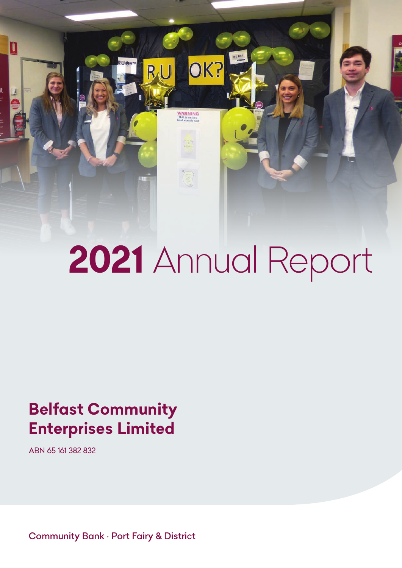# *2021 Annual Report*

OK?

**WARNING**<br>Staff do not have

 $RU$ 

# *Belfast Community Enterprises Limited*

*ABN 65 161 382 832*

 $\overline{\mathbf{u}}$ 

*Community Bank • Port Fairy & District*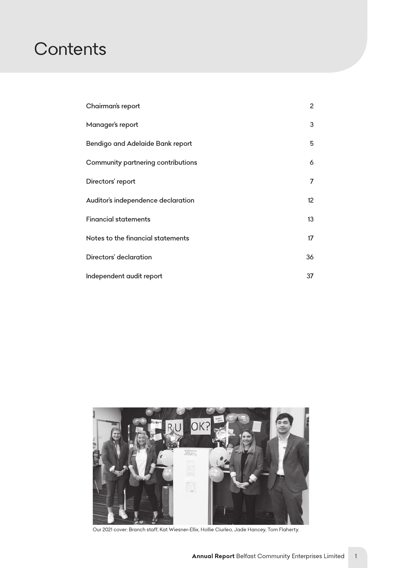# *Contents*

| Chairman's report                  | $\overline{c}$ |
|------------------------------------|----------------|
| Manager's report                   | 3              |
| Bendigo and Adelaide Bank report   | 5              |
| Community partnering contributions | 6              |
| Directors' report                  | $\overline{7}$ |
| Auditor's independence declaration | 12             |
| <b>Financial statements</b>        | 13             |
| Notes to the financial statements  | 17             |
| Directors' declaration             | 36             |
| Independent audit report           | 37             |



*Our 2021 cover: Branch staff, Kat Wiesner-Ellix, Hollie Ciurleo, Jade Hancey, Tom Flaherty.*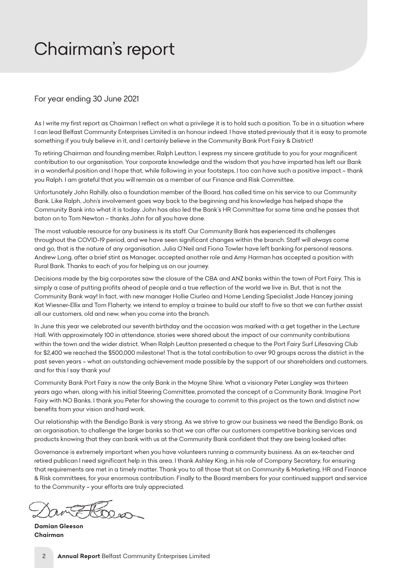# <span id="page-2-0"></span>*Chairman's report*

# *For year ending 30 June 2021*

As I write my first report as Chairman I reflect on what a privilege it is to hold such a position. To be in a situation where *I can lead Belfast Community Enterprises Limited is an honour indeed. I have stated previously that it is easy to promote something if you truly believe in it, and I certainly believe in the Community Bank Port Fairy & District!*

*To retiring Chairman and founding member, Ralph Leutton, I express my sincere gratitude to you for your magnificent contribution to our organisation. Your corporate knowledge and the wisdom that you have imparted has left our Bank in a wonderful position and I hope that, while following in your footsteps, I too can have such a positive impact – thank you Ralph. I am grateful that you will remain as a member of our Finance and Risk Committee.*

*Unfortunately John Rahilly, also a foundation member of the Board, has called time on his service to our Community Bank. Like Ralph, John's involvement goes way back to the beginning and his knowledge has helped shape the Community Bank into what it is today. John has also led the Bank's HR Committee for some time and he passes that baton on to Tom Newton – thanks John for all you have done.*

*The most valuable resource for any business is its staff. Our Community Bank has experienced its challenges throughout the COVID-19 period, and we have seen significant changes within the branch. Staff will always come and go, that is the nature of any organisation. Julia O'Neil and Fiona Towler have left banking for personal reasons. Andrew Long, after a brief stint as Manager, accepted another role and Amy Harman has accepted a position with Rural Bank. Thanks to each of you for helping us on our journey.*

*Decisions made by the big corporates saw the closure of the CBA and ANZ banks within the town of Port Fairy. This is*  simply a case of putting profits ahead of people and a true reflection of the world we live in. But, that is not the *Community Bank way! In fact, with new manager Hollie Ciurleo and Home Lending Specialist Jade Hancey joining Kat Wiesner-Ellix and Tom Flaherty, we intend to employ a trainee to build our staff to five so that we can further assist all our customers, old and new, when you come into the branch.*

In June this year we celebrated our seventh birthday and the occasion was marked with a get together in the Lecture *Hall. With approximately 100 in attendance, stories were shared about the impact of our community contributions within the town and the wider district. When Ralph Leutton presented a cheque to the Port Fairy Surf Lifesaving Club for \$2,400 we reached the \$500,000 milestone! That is the total contribution to over 90 groups across the district in the past seven years – what an outstanding achievement made possible by the support of our shareholders and customers, and for this I say thank you!*

*Community Bank Port Fairy is now the only Bank in the Moyne Shire. What a visionary Peter Langley was thirteen years ago when, along with his initial Steering Committee, promoted the concept of a Community Bank. Imagine Port Fairy with NO Banks. I thank you Peter for showing the courage to commit to this project as the town and district now benefits from your vision and hard work.* 

*Our relationship with the Bendigo Bank is very strong. As we strive to grow our business we need the Bendigo Bank, as an organisation, to challenge the larger banks so that we can offer our customers competitive banking services and products knowing that they can bank with us at the Community Bank confident that they are being looked after.*

*Governance is extremely important when you have volunteers running a community business. As an ex-teacher and retired publican I need significant help in this area. I thank Ashley King, in his role of Company Secretary, for ensuring that requirements are met in a timely matter. Thank you to all those that sit on Community & Marketing, HR and Finance & Risk committees, for your enormous contribution. Finally to the Board members for your continued support and service to the Community – your efforts are truly appreciated.*

*Damian Gleeson Chairman*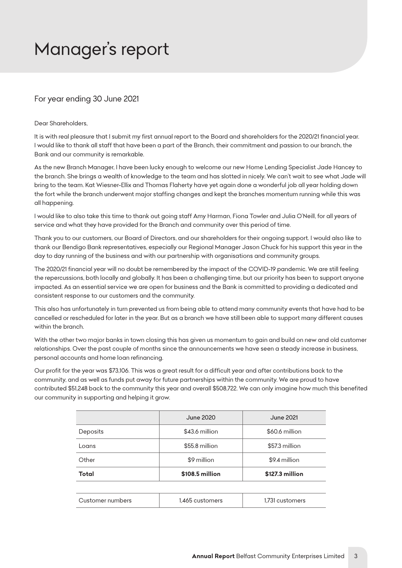# <span id="page-3-0"></span>*Manager's report*

# *For year ending 30 June 2021*

#### *Dear Shareholders,*

*It is with real pleasure that I submit my first annual report to the Board and shareholders for the 2020/21 financial year. I* would like to thank all staff that have been a part of the Branch, their commitment and passion to our branch, the *Bank and our community is remarkable.* 

*As the new Branch Manager, I have been lucky enough to welcome our new Home Lending Specialist Jade Hancey to*  the branch. She brings a wealth of knowledge to the team and has slotted in nicely. We can't wait to see what Jade will *bring to the team. Kat Wiesner-Ellix and Thomas Flaherty have yet again done a wonderful job all year holding down*  the fort while the branch underwent major staffing changes and kept the branches momentum running while this was *all happening.* 

*I* would like to also take this time to thank out going staff Amy Harman, Fiona Towler and Julia O'Neill, for all years of *service and what they have provided for the Branch and community over this period of time.* 

*Thank you to our customers, our Board of Directors, and our shareholders for their ongoing support. I would also like to thank our Bendigo Bank representatives, especially our Regional Manager Jason Chuck for his support this year in the day to day running of the business and with our partnership with organisations and community groups.* 

*The 2020/21 financial year will no doubt be remembered by the impact of the COVID-19 pandemic. We are still feeling the repercussions, both locally and globally. It has been a challenging time, but our priority has been to support anyone impacted. As an essential service we are open for business and the Bank is committed to providing a dedicated and consistent response to our customers and the community.* 

*This also has unfortunately in turn prevented us from being able to attend many community events that have had to be cancelled or rescheduled for later in the year. But as a branch we have still been able to support many different causes within the branch.* 

With the other two major banks in town closing this has given us momentum to gain and build on new and old customer *relationships. Over the past couple of months since the announcements we have seen a steady increase in business, personal accounts and home loan refinancing.* 

*Our profit for the year was \$73,106. This was a great result for a difficult year and after contributions back to the*  community, and as well as funds put away for future partnerships within the community. We are proud to have *contributed \$51,248 back to the community this year and overall \$508,722. We can only imagine how much this benefited our community in supporting and helping it grow.* 

|                  | June 2020<br>June 2021 |                 |
|------------------|------------------------|-----------------|
| Deposits         | \$43.6 million         | \$60.6 million  |
| Loans            | \$55.8 million         | \$57.3 million  |
| Other            | \$9 million            | \$9.4 million   |
| Total            | \$108.5 million        | \$127.3 million |
|                  |                        |                 |
| Customer numbers | 1.465 customers        | 1.731 customers |
|                  |                        |                 |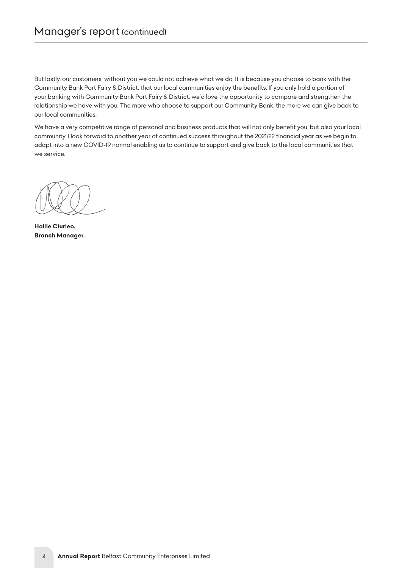# *Manager's report (continued)*

*But lastly, our customers, without you we could not achieve what we do. It is because you choose to bank with the Community Bank Port Fairy & District, that our local communities enjoy the benefits. If you only hold a portion of your banking with Community Bank Port Fairy & District, we'd love the opportunity to compare and strengthen the relationship we have with you. The more who choose to support our Community Bank, the more we can give back to our local communities.* 

*We have a very competitive range of personal and business products that will not only benefit you, but also your local community. I look forward to another year of continued success throughout the 2021/22 financial year as we begin to adapt into a new COVID-19 normal enabling us to continue to support and give back to the local communities that we service.*

*Yours sincerely,* 

*Hollie Ciurleo, Branch Manager.*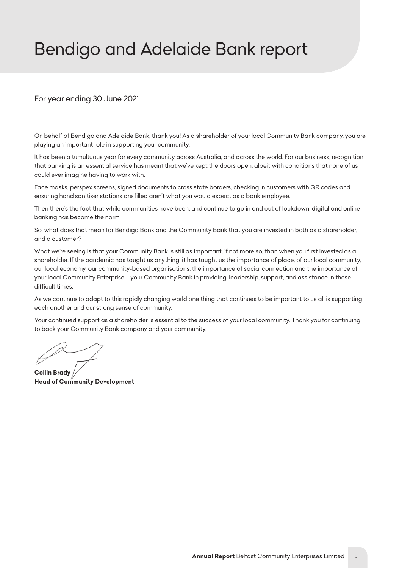# <span id="page-5-0"></span>*Bendigo and Adelaide Bank report*

# *For year ending 30 June 2021*

*On behalf of Bendigo and Adelaide Bank, thank you! As a shareholder of your local Community Bank company, you are playing an important role in supporting your community.*

*It has been a tumultuous year for every community across Australia, and across the world. For our business, recognition that banking is an essential service has meant that we've kept the doors open, albeit with conditions that none of us could ever imagine having to work with.* 

*Face masks, perspex screens, signed documents to cross state borders, checking in customers with QR codes and ensuring hand sanitiser stations are filled aren't what you would expect as a bank employee.* 

Then there's the fact that while communities have been, and continue to go in and out of lockdown, digital and online *banking has become the norm.* 

*So, what does that mean for Bendigo Bank and the Community Bank that you are invested in both as a shareholder, and a customer?* 

*What we're seeing is that your Community Bank is still as important, if not more so, than when you first invested as a shareholder. If the pandemic has taught us anything, it has taught us the importance of place, of our local community, our local economy, our community-based organisations, the importance of social connection and the importance of your local Community Enterprise – your Community Bank in providing, leadership, support, and assistance in these difficult times.*

As we continue to adapt to this rapidly changing world one thing that continues to be important to us all is supporting *each another and our strong sense of community.* 

*Your continued support as a shareholder is essential to the success of your local community. Thank you for continuing to back your Community Bank company and your community.*

*Collin Brady Head of Community Development*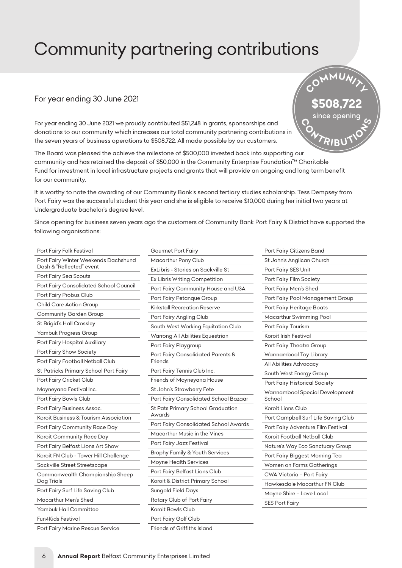# <span id="page-6-0"></span>*Community partnering contributions*

# *For year ending 30 June 2021*

*For year ending 30 June 2021 we proudly contributed \$51,248 in grants, sponsorships and donations to our community which increases our total community partnering contributions in the seven years of business operations to \$508,722. All made possible by our customers.* 

*The Board was pleased the achieve the milestone of \$500,000 invested back into supporting our community and has retained the deposit of \$50,000 in the Community Enterprise Foundation™ Charitable*  Fund for investment in local infrastructure projects and grants that will provide an ongoing and long term benefit *for our community.* 

*It is worthy to note the awarding of our Community Bank's second tertiary studies scholarship. Tess Dempsey from Port Fairy was the successful student this year and she is eligible to receive \$10,000 during her initial two years at Undergraduate bachelor's degree level.*

Since opening for business seven years ago the customers of Community Bank Port Fairy & District have supported the *following organisations:*

| Port Fairy Folk Festival                                         | Gοι        |
|------------------------------------------------------------------|------------|
| Port Fairy Winter Weekends Dachshund<br>Dash & "Reflected" event | Ma<br>ExLi |
| Port Fairy Sea Scouts                                            | Ex L       |
| Port Fairy Consolidated School Council                           | Port       |
| Port Fairy Probus Club                                           | Port       |
| <b>Child Care Action Group</b>                                   | Kirk       |
| <b>Community Garden Group</b>                                    | Port       |
| St Brigid's Hall Crossley                                        | Sou        |
| Yambuk Progress Group                                            | War        |
| Port Fairy Hospital Auxiliary                                    | Port       |
| Port Fairy Show Society                                          | Port       |
| Port Fairy Football Netball Club                                 | Frie       |
| St Patricks Primary School Port Fairy                            | Port       |
| Port Fairy Cricket Club                                          | Frie       |
| Moyneyana Festival Inc.                                          | St J       |
| Port Fairy Bowls Club                                            | Port       |
| Port Fairy Business Assoc.                                       | St P       |
| Koroit Business & Tourism Association                            | Awo        |
| Port Fairy Community Race Day                                    | Port       |
| Koroit Community Race Day                                        | Ma         |
| Port Fairy Belfast Lions Art Show                                | Port       |
| Koroit FN Club - Tower Hill Challenge                            | Bro        |
| Sackville Street Streetscape                                     | Moy        |
| Commonwealth Championship Sheep                                  | Port       |
| Dog Trials                                                       | Koro       |
| Port Fairy Surf Life Saving Club                                 | Sun        |
| Macarthur Men's Shed                                             | Rot        |
| Yambuk Hall Committee                                            | Koro       |
| Fun4Kids Festival                                                | Port       |
| Port Fairy Marine Rescue Service                                 | Frie       |

| <b>Gourmet Port Fairy</b>                    |
|----------------------------------------------|
| Macarthur Pony Club                          |
| ExLibris - Stories on Sackville St           |
| Ex Libris Writing Competition                |
| Port Fairy Community House and U3A           |
| Port Fairy Petanque Group                    |
| Kirkstall Recreation Reserve                 |
| Port Fairy Angling Club                      |
| South West Working Equitation Club           |
| Warrong All Abilities Equestrian             |
| Port Fairy Playgroup                         |
| Port Fairy Consolidated Parents &<br>Friends |
| Port Fairy Tennis Club Inc.                  |
| Friends of Moyneyana House                   |
| St John's Strawberry Fete                    |
| Port Fairy Consolidated School Bazaar        |
| St Pats Primary School Graduation<br>Awards  |
| Port Fairy Consolidated School Awards        |
| Macarthur Music in the Vines                 |
| Port Fairy Jazz Festival                     |
| <b>Brophy Family &amp; Youth Services</b>    |
| <b>Moyne Health Services</b>                 |
| Port Fairy Belfast Lions Club                |
| Koroit & District Primary School             |
| Sungold Field Days                           |
| Rotary Club of Port Fairy                    |
| Koroit Bowls Club                            |
| Port Fairy Golf Club                         |
| Friends of Griffiths Island                  |

 $C$ <sup>O</sup><sup>M</sup><sup>MU</sup>*N*<sup>I</sup>

*\$508,722 since opening*

*<sup>C</sup> <sup>O</sup> <sup>N</sup>TRIB<sup>U</sup> <sup>T</sup><sup>I</sup><sup>O</sup> <sup>N</sup> <sup>S</sup>*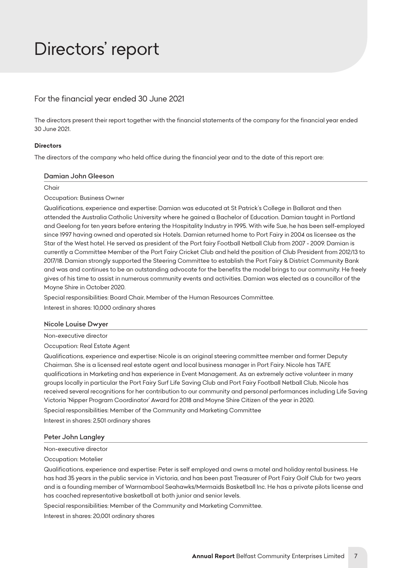# <span id="page-7-0"></span>*Directors' report*

# *For the financial year ended 30 June 2021*

*The directors present their report together with the financial statements of the company for the financial year ended 30 June 2021.*

#### *Directors*

*The directors of the company who held office during the financial year and to the date of this report are:*

#### *Damian John Gleeson*

*Chair*

*Occupation: Business Owner*

*Qualifications, experience and expertise: Damian was educated at St Patrick's College in Ballarat and then attended the Australia Catholic University where he gained a Bachelor of Education. Damian taught in Portland and Geelong for ten years before entering the Hospitality Industry in 1995. With wife Sue, he has been self-employed since 1997 having owned and operated six Hotels. Damian returned home to Port Fairy in 2004 as licensee as the Star of the West hotel. He served as president of the Port fairy Football Netball Club from 2007 - 2009. Damian is currently a Committee Member of the Port Fairy Cricket Club and held the position of Club President from 2012/13 to 2017/18. Damian strongly supported the Steering Committee to establish the Port Fairy & District Community Bank and was and continues to be an outstanding advocate for the benefits the model brings to our community. He freely gives of his time to assist in numerous community events and activities. Damian was elected as a councillor of the Moyne Shire in October 2020.*

*Special responsibilities: Board Chair, Member of the Human Resources Committee.*

*Interest in shares: 10,000 ordinary shares*

#### *Nicole Louise Dwyer*

*Non-executive director*

*Occupation: Real Estate Agent*

*Qualifications, experience and expertise: Nicole is an original steering committee member and former Deputy Chairman. She is a licensed real estate agent and local business manager in Port Fairy. Nicole has TAFE qualifications in Marketing and has experience in Event Management. As an extremely active volunteer in many groups locally in particular the Port Fairy Surf Life Saving Club and Port Fairy Football Netball Club, Nicole has received several recognitions for her contribution to our community and personal performances including Life Saving Victoria 'Nipper Program Coordinator' Award for 2018 and Moyne Shire Citizen of the year in 2020. Special responsibilities: Member of the Community and Marketing Committee*

*Interest in shares: 2,501 ordinary shares*

#### *Peter John Langley*

*Non-executive director*

*Occupation: Motelier*

*Qualifications, experience and expertise: Peter is self employed and owns a motel and holiday rental business. He has had 35 years in the public service in Victoria, and has been past Treasurer of Port Fairy Golf Club for two years and is a founding member of Warrnambool Seahawks/Mermaids Basketball Inc. He has a private pilots license and has coached representative basketball at both junior and senior levels.*

*Special responsibilities: Member of the Community and Marketing Committee.*

*Interest in shares: 20,001 ordinary shares*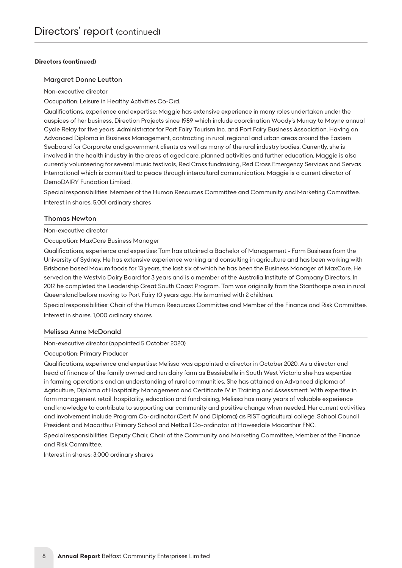#### *Directors (continued)*

#### *Margaret Donne Leutton*

*Non-executive director*

*Occupation: Leisure in Healthy Activities Co-Ord.*

*Qualifications, experience and expertise: Maggie has extensive experience in many roles undertaken under the auspices of her business, Direction Projects since 1989 which include coordination Woody's Murray to Moyne annual Cycle Relay for five years, Administrator for Port Fairy Tourism Inc. and Port Fairy Business Association. Having an Advanced Diploma in Business Management, contracting in rural, regional and urban areas around the Eastern Seaboard for Corporate and government clients as well as many of the rural industry bodies. Currently, she is involved in the health industry in the areas of aged care, planned activities and further education. Maggie is also currently volunteering for several music festivals, Red Cross fundraising, Red Cross Emergency Services and Servas International which is committed to peace through intercultural communication. Maggie is a current director of DemoDAIRY Fundation Limited.*

*Special responsibilities: Member of the Human Resources Committee and Community and Marketing Committee. Interest in shares: 5,001 ordinary shares*

#### *Thomas Newton*

*Non-executive director*

*Occupation: MaxCare Business Manager*

*Qualifications, experience and expertise: Tom has attained a Bachelor of Management - Farm Business from the University of Sydney. He has extensive experience working and consulting in agriculture and has been working with Brisbane based Maxum foods for 13 years, the last six of which he has been the Business Manager of MaxCare. He*  served on the Westvic Dairy Board for 3 years and is a member of the Australia Institute of Company Directors. In *2012 he completed the Leadership Great South Coast Program. Tom was originally from the Stanthorpe area in rural Queensland before moving to Port Fairy 10 years ago. He is married with 2 children.*

*Special responsibilities: Chair of the Human Resources Committee and Member of the Finance and Risk Committee. Interest in shares: 1,000 ordinary shares*

#### *Melissa Anne McDonald*

*Non-executive director (appointed 5 October 2020)*

*Occupation: Primary Producer*

*Qualifications, experience and expertise: Melissa was appointed a director in October 2020. As a director and head of finance of the family owned and run dairy farm as Bessiebelle in South West Victoria she has expertise*  in farming operations and an understanding of rural communities. She has attained an Advanced diploma of Agriculture, Diploma of Hospitality Management and Certificate IV in Training and Assessment. With expertise in *farm management retail, hospitality, education and fundraising, Melissa has many years of valuable experience and knowledge to contribute to supporting our community and positive change when needed. Her current activities*  and involvement include Program Co-ordinator (Cert IV and Diploma) as RIST agricultural college, School Council *President and Macarthur Primary School and Netball Co-ordinator at Hawesdale Macarthur FNC.*

*Special responsibilities: Deputy Chair, Chair of the Community and Marketing Committee, Member of the Finance and Risk Committee.*

*Interest in shares: 3,000 ordinary shares*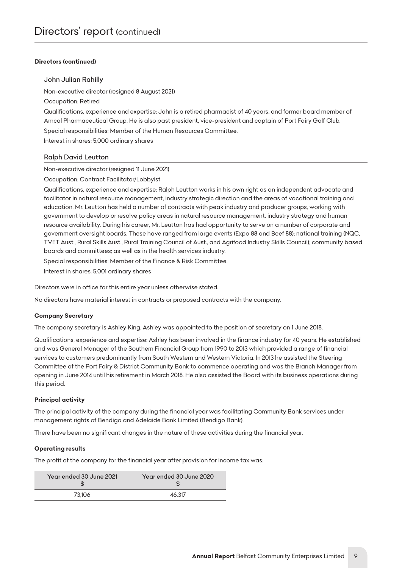#### *Directors (continued)*

#### *John Julian Rahilly*

*Non-executive director (resigned 8 August 2021)*

*Occupation: Retired*

*Qualifications, experience and expertise: John is a retired pharmacist of 40 years, and former board member of Amcal Pharmaceutical Group. He is also past president, vice-president and captain of Port Fairy Golf Club. Special responsibilities: Member of the Human Resources Committee.*

*Interest in shares: 5,000 ordinary shares*

#### *Ralph David Leutton*

*Non-executive director (resigned 11 June 2021)*

*Occupation: Contract Facilitator/Lobbyist*

*Qualifications, experience and expertise: Ralph Leutton works in his own right as an independent advocate and*  facilitator in natural resource management, industry strategic direction and the areas of vocational training and *education. Mr. Leutton has held a number of contracts with peak industry and producer groups, working with government to develop or resolve policy areas in natural resource management, industry strategy and human resource availability. During his career, Mr. Leutton has had opportunity to serve on a number of corporate and government oversight boards. These have ranged from large events (Expo 88 and Beef 88); national training (NQC, TVET Aust., Rural Skills Aust., Rural Training Council of Aust., and Agrifood Industry Skills Council); community based boards and committees; as well as in the health services industry.*

*Special responsibilities: Member of the Finance & Risk Committee.*

*Interest in shares: 5,001 ordinary shares*

*Directors were in office for this entire year unless otherwise stated.*

*No directors have material interest in contracts or proposed contracts with the company.*

#### *Company Secretary*

*The company secretary is Ashley King. Ashley was appointed to the position of secretary on 1 June 2018.*

*Qualifications, experience and expertise: Ashley has been involved in the finance industry for 40 years. He established and was General Manager of the Southern Financial Group from 1990 to 2013 which provided a range of financial services to customers predominantly from South Western and Western Victoria. In 2013 he assisted the Steering Committee of the Port Fairy & District Community Bank to commence operating and was the Branch Manager from opening in June 2014 until his retirement in March 2018. He also assisted the Board with its business operations during this period.*

#### *Principal activity*

*The principal activity of the company during the financial year was facilitating Community Bank services under management rights of Bendigo and Adelaide Bank Limited (Bendigo Bank).*

*There have been no significant changes in the nature of these activities during the financial year.*

#### *Operating results*

*The profit of the company for the financial year after provision for income tax was:*

| Year ended 30 June 2021 | Year ended 30 June 2020 |
|-------------------------|-------------------------|
| 73.106                  | 46.317                  |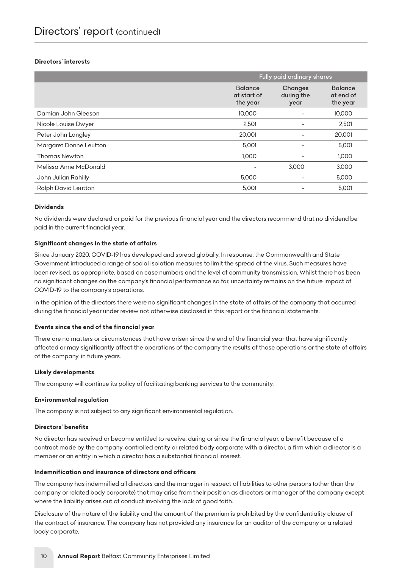#### *Directors' interests*

|                            | Fully paid ordinary shares                |                               |                                         |  |
|----------------------------|-------------------------------------------|-------------------------------|-----------------------------------------|--|
|                            | <b>Balance</b><br>at start of<br>the year | Changes<br>during the<br>year | <b>Balance</b><br>at end of<br>the year |  |
| Damian John Gleeson        | 10,000                                    |                               | 10,000                                  |  |
| Nicole Louise Dwyer        | 2,501                                     |                               | 2,501                                   |  |
| Peter John Langley         | 20,001                                    |                               | 20,001                                  |  |
| Margaret Donne Leutton     | 5,001                                     |                               | 5,001                                   |  |
| <b>Thomas Newton</b>       | 1.000                                     |                               | 1.000                                   |  |
| Melissa Anne McDonald      |                                           | 3.000                         | 3,000                                   |  |
| John Julian Rahilly        | 5,000                                     |                               | 5,000                                   |  |
| <b>Ralph David Leutton</b> | 5,001                                     |                               | 5.001                                   |  |

#### *Dividends*

*No dividends were declared or paid for the previous financial year and the directors recommend that no dividend be paid in the current financial year.*

#### *Significant changes in the state of affairs*

*Since January 2020, COVID-19 has developed and spread globally. In response, the Commonwealth and State Government introduced a range of social isolation measures to limit the spread of the virus. Such measures have been revised, as appropriate, based on case numbers and the level of community transmission. Whilst there has been no significant changes on the company's financial performance so far, uncertainty remains on the future impact of COVID-19 to the company's operations.*

*In the opinion of the directors there were no significant changes in the state of affairs of the company that occurred during the financial year under review not otherwise disclosed in this report or the financial statements.*

#### *Events since the end of the financial year*

*There are no matters or circumstances that have arisen since the end of the financial year that have significantly affected or may significantly affect the operations of the company the results of those operations or the state of affairs of the company, in future years.*

#### *Likely developments*

*The company will continue its policy of facilitating banking services to the community.*

#### *Environmental regulation*

*The company is not subject to any significant environmental regulation.*

#### *Directors' benefits*

*No director has received or become entitled to receive, during or since the financial year, a benefit because of a contract made by the company, controlled entity or related body corporate with a director, a firm which a director is a member or an entity in which a director has a substantial financial interest.*

#### *Indemnification and insurance of directors and officers*

*The company has indemnified all directors and the manager in respect of liabilities to other persons (other than the company or related body corporate) that may arise from their position as directors or manager of the company except where the liability arises out of conduct involving the lack of good faith.*

*Disclosure of the nature of the liability and the amount of the premium is prohibited by the confidentiality clause of the contract of insurance. The company has not provided any insurance for an auditor of the company or a related body corporate.*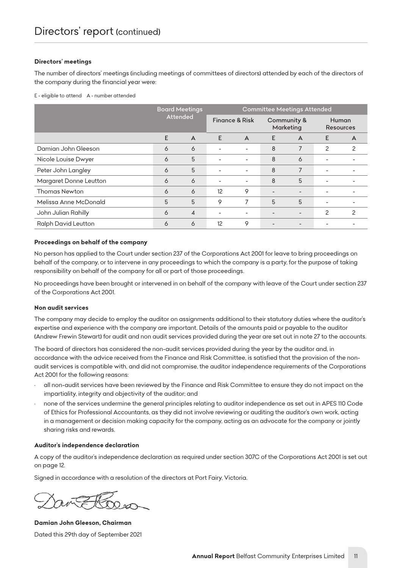#### *Directors' meetings*

The number of directors' meetings (including meetings of committees of directors) attended by each of the directors of *the company during the financial year were:*

*E - eligible to attend A - number attended*

|                            | <b>Board Meetings</b><br><b>Attended</b> |                | <b>Committee Meetings Attended</b> |                          |                          |                          |                           |               |
|----------------------------|------------------------------------------|----------------|------------------------------------|--------------------------|--------------------------|--------------------------|---------------------------|---------------|
|                            |                                          |                | <b>Finance &amp; Risk</b>          |                          | Community &<br>Marketing |                          | Human<br><b>Resources</b> |               |
|                            | E                                        | $\overline{A}$ | E                                  | $\overline{A}$           | E                        | $\blacktriangle$         | E                         | A             |
| Damian John Gleeson        | 6                                        | 6              |                                    | $\overline{\phantom{a}}$ | 8                        | 7                        | 2                         | 2             |
| Nicole Louise Dwyer        | 6                                        | 5              |                                    | $\overline{\phantom{a}}$ | 8                        | 6                        |                           |               |
| Peter John Langley         | 6                                        | 5              |                                    |                          | 8                        | 7                        |                           |               |
| Margaret Donne Leutton     | 6                                        | 6              | $\overline{\phantom{a}}$           | $\overline{\phantom{a}}$ | 8                        | 5                        |                           |               |
| <b>Thomas Newton</b>       | 6                                        | 6              | 12                                 | 9                        |                          |                          |                           |               |
| Melissa Anne McDonald      | 5                                        | 5              | 9                                  | 7                        | 5                        | 5                        |                           |               |
| John Julian Rahilly        | 6                                        | $\overline{4}$ | ۰                                  | $\overline{\phantom{a}}$ |                          | $\overline{\phantom{a}}$ | 2                         | $\mathcal{P}$ |
| <b>Ralph David Leutton</b> | 6                                        | 6              | 12                                 | 9                        |                          |                          |                           |               |

#### *Proceedings on behalf of the company*

*No person has applied to the Court under section 237 of the Corporations Act 2001 for leave to bring proceedings on behalf of the company, or to intervene in any proceedings to which the company is a party, for the purpose of taking responsibility on behalf of the company for all or part of those proceedings.*

*No proceedings have been brought or intervened in on behalf of the company with leave of the Court under section 237 of the Corporations Act 2001.*

#### *Non audit services*

*The company may decide to employ the auditor on assignments additional to their statutory duties where the auditor's expertise and experience with the company are important. Details of the amounts paid or payable to the auditor (Andrew Frewin Stewart) for audit and non audit services provided during the year are set out in note 27 to the accounts.*

*The board of directors has considered the non-audit services provided during the year by the auditor and, in accordance with the advice received from the Finance and Risk Committee, is satisfied that the provision of the nonaudit services is compatible with, and did not compromise, the auditor independence requirements of the Corporations Act 2001 for the following reasons:*

- *• all non-audit services have been reviewed by the Finance and Risk Committee to ensure they do not impact on the impartiality, integrity and objectivity of the auditor; and*
- *• none of the services undermine the general principles relating to auditor independence as set out in APES 110 Code of Ethics for Professional Accountants, as they did not involve reviewing or auditing the auditor's own work, acting in a management or decision making capacity for the company, acting as an advocate for the company or jointly sharing risks and rewards.*

#### *Auditor's independence declaration*

*A copy of the auditor's independence declaration as required under section 307C of the Corporations Act 2001 is set out on page 12.*

*Signed in accordance with a resolution of the directors at Port Fairy, Victoria.*

*Damian John Gleeson, Chairman Dated this 29th day of September 2021*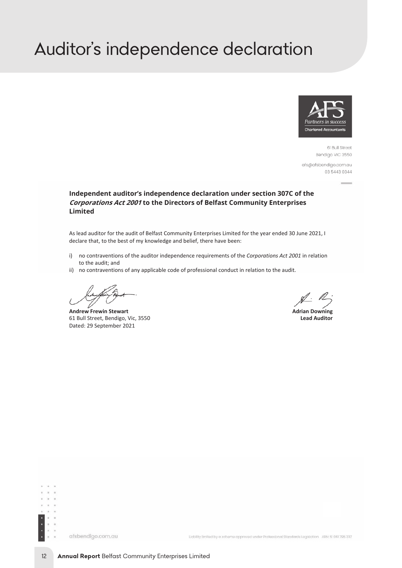# <span id="page-12-0"></span>*Auditor's independence declaration*



61 Bull Street Bendigo VIC 3550

afs@afsbendigo.com.au 03 5443 0344

#### **Independent auditor's independence declaration under section 307C of the Corporations Act 2001 to the Directors of Belfast Community Enterprises Limited**

As lead auditor for the audit of Belfast Community Enterprises Limited for the year ended 30 June 2021, I declare that, to the best of my knowledge and belief, there have been:

- i) no contraventions of the auditor independence requirements of the *Corporations Act 2001* in relation to the audit; and
- ii) no contraventions of any applicable code of professional conduct in relation to the audit.

**Andrew Frewin Stewart**<br> **Adrian Downing**<br> **Adrian Downing**<br> **Adrian Downing**<br> **Adrian Downing**<br> **Adrian Downing**<br> **Adrian Downing** 61 Bull Street, Bendigo, Vic, 3550 Dated: 29 September 2021

 $\mathbb{Z}^3$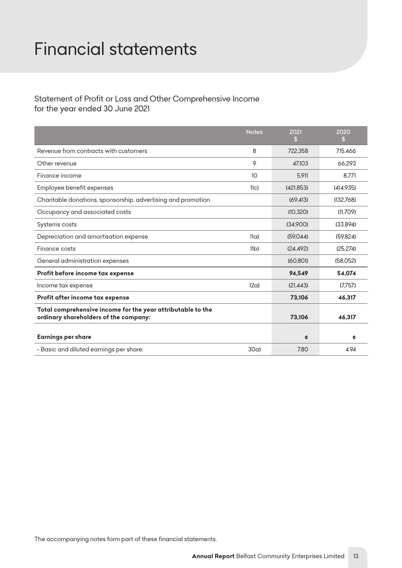# <span id="page-13-0"></span>*Financial statements*

# *Statement of Profit or Loss and Other Comprehensive Income for the year ended 30 June 2021*

|                                                                                                      | <b>Notes</b>     | 2021<br>\$ | 2020<br>\$ |
|------------------------------------------------------------------------------------------------------|------------------|------------|------------|
| Revenue from contracts with customers                                                                | 8                | 722,358    | 715,466    |
| Other revenue                                                                                        | 9                | 47.103     | 66.293     |
| Finance income                                                                                       | 10               | 5.911      | 8.771      |
| Employee benefit expenses                                                                            | 11 <sub>CI</sub> | (421.853)  | (414,935)  |
| Charitable donations, sponsorship, advertising and promotion                                         |                  | (69.413)   | (132,768)  |
| Occupancy and associated costs                                                                       |                  | (10, 320)  | (11.709)   |
| Systems costs                                                                                        |                  | (34,900)   | (33,894)   |
| Depreciation and amortisation expense                                                                | 11a              | (59.044)   | (59.824)   |
| Finance costs                                                                                        | 11 <sub>b</sub>  | (24, 492)  | (25, 274)  |
| General administration expenses                                                                      |                  | (60, 801)  | (58,052)   |
| Profit before income tax expense                                                                     |                  | 94,549     | 54,074     |
| Income tax expense                                                                                   | 12a              | (21.443)   | (7.757)    |
| Profit after income tax expense                                                                      |                  | 73,106     | 46,317     |
| Total comprehensive income for the year attributable to the<br>ordinary shareholders of the company: |                  | 73,106     | 46,317     |
| <b>Earnings per share</b>                                                                            |                  | ¢          | ¢          |
| - Basic and diluted earnings per share:                                                              | 30a              | 7.80       | 4.94       |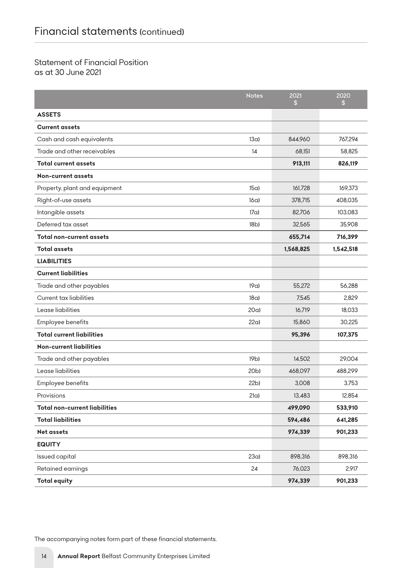# *Statement of Financial Position as at 30 June 2021*

|                                      | <b>Notes</b>    | 2021<br>\$ | 2020<br>\$ |
|--------------------------------------|-----------------|------------|------------|
| <b>ASSETS</b>                        |                 |            |            |
| <b>Current assets</b>                |                 |            |            |
| Cash and cash equivalents            | 13a             | 844.960    | 767,294    |
| Trade and other receivables          | 14              | 68.151     | 58,825     |
| <b>Total current assets</b>          |                 | 913,111    | 826,119    |
| <b>Non-current assets</b>            |                 |            |            |
| Property, plant and equipment        | 15a)            | 161,728    | 169,373    |
| Right-of-use assets                  | 16a             | 378,715    | 408,035    |
| Intangible assets                    | 17a)            | 82,706     | 103,083    |
| Deferred tax asset                   | 18 <sub>b</sub> | 32,565     | 35,908     |
| <b>Total non-current assets</b>      |                 | 655,714    | 716,399    |
| <b>Total assets</b>                  |                 | 1,568,825  | 1,542,518  |
| <b>LIABILITIES</b>                   |                 |            |            |
| <b>Current liabilities</b>           |                 |            |            |
| Trade and other payables             | 19a)            | 55,272     | 56,288     |
| <b>Current tax liabilities</b>       | 18a)            | 7,545      | 2,829      |
| Lease liabilities                    | 20a             | 16,719     | 18,033     |
| Employee benefits                    | 22a             | 15,860     | 30,225     |
| <b>Total current liabilities</b>     |                 | 95,396     | 107,375    |
| <b>Non-current liabilities</b>       |                 |            |            |
| Trade and other payables             | 19b)            | 14,502     | 29,004     |
| Lease liabilities                    | 20 <sub>b</sub> | 468,097    | 488,299    |
| Employee benefits                    | 22 <sub>b</sub> | 3,008      | 3,753      |
| Provisions                           | 21a)            | 13,483     | 12,854     |
| <b>Total non-current liabilities</b> |                 | 499,090    | 533,910    |
| <b>Total liabilities</b>             |                 | 594,486    | 641,285    |
| <b>Net assets</b>                    |                 | 974,339    | 901,233    |
| <b>EQUITY</b>                        |                 |            |            |
| Issued capital                       | 23a             | 898,316    | 898,316    |
| Retained earnings                    | 24              | 76,023     | 2,917      |
| <b>Total equity</b>                  |                 | 974,339    | 901,233    |

*The accompanying notes form part of these financial statements.*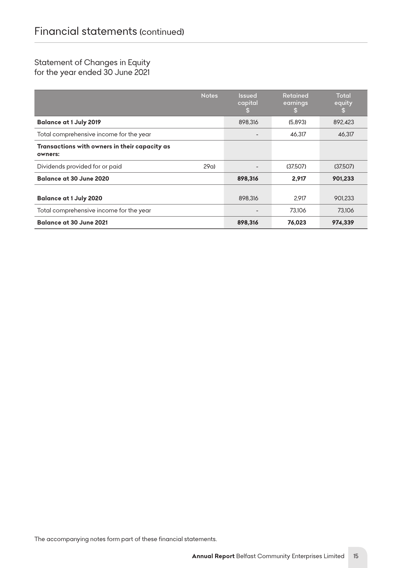# *Statement of Changes in Equity for the year ended 30 June 2021*

|                                                          | <b>Notes</b> | <b>Issued</b><br>capital<br>SS. | <b>Retained</b><br>earnings<br>-S | <b>Total</b><br>equity<br><sup>\$</sup> |
|----------------------------------------------------------|--------------|---------------------------------|-----------------------------------|-----------------------------------------|
| <b>Balance at 1 July 2019</b>                            |              | 898.316                         | (5.893)                           | 892.423                                 |
| Total comprehensive income for the year                  |              |                                 | 46.317                            | 46,317                                  |
| Transactions with owners in their capacity as<br>owners: |              |                                 |                                   |                                         |
| Dividends provided for or paid                           | 29a          |                                 | (37.507)                          | (37,507)                                |
| Balance at 30 June 2020                                  |              | 898,316                         | 2.917                             | 901,233                                 |
| <b>Balance at 1 July 2020</b>                            |              | 898.316                         | 2.917                             | 901.233                                 |
| Total comprehensive income for the year                  |              |                                 | 73.106                            | 73,106                                  |
| Balance at 30 June 2021                                  |              | 898,316                         | 76,023                            | 974,339                                 |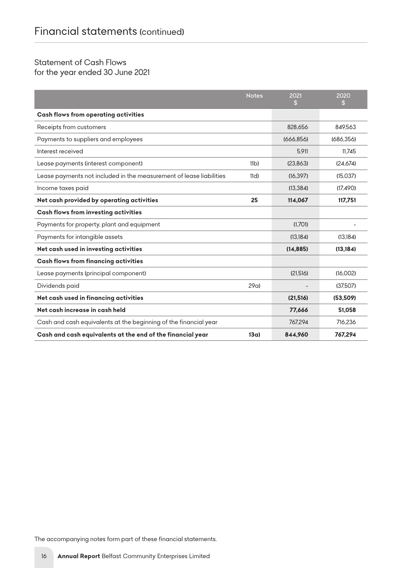# *Statement of Cash Flows*

*for the year ended 30 June 2021*

|                                                                     | <b>Notes</b>    | 2021<br>\$ | 2020<br>S |
|---------------------------------------------------------------------|-----------------|------------|-----------|
| <b>Cash flows from operating activities</b>                         |                 |            |           |
| Receipts from customers                                             |                 | 828.656    | 849.563   |
| Payments to suppliers and employees                                 |                 | (666.856)  | (686.356) |
| Interest received                                                   |                 | 5.911      | 11.745    |
| Lease payments (interest component)                                 | 11 <sub>b</sub> | (23.863)   | (24.674)  |
| Lease payments not included in the measurement of lease liabilities | 11d             | (16.397)   | (15.037)  |
| Income taxes paid                                                   |                 | (13.384)   | (17, 490) |
| Net cash provided by operating activities                           | 25              | 114,067    | 117,751   |
| <b>Cash flows from investing activities</b>                         |                 |            |           |
| Payments for property, plant and equipment                          |                 | (1.701)    |           |
| Payments for intangible assets                                      |                 | (13.184)   | (13, 184) |
| Net cash used in investing activities                               |                 | (14, 885)  | (13, 184) |
| <b>Cash flows from financing activities</b>                         |                 |            |           |
| Lease payments (principal component)                                |                 | (21.516)   | (16,002)  |
| Dividends paid                                                      | 29a             |            | (37,507)  |
| Net cash used in financing activities                               |                 | (21,516)   | (53,509)  |
| Net cash increase in cash held                                      |                 | 77,666     | 51,058    |
| Cash and cash equivalents at the beginning of the financial year    |                 | 767.294    | 716.236   |
| Cash and cash equivalents at the end of the financial year          | 13a)            | 844.960    | 767.294   |

*The accompanying notes form part of these financial statements.*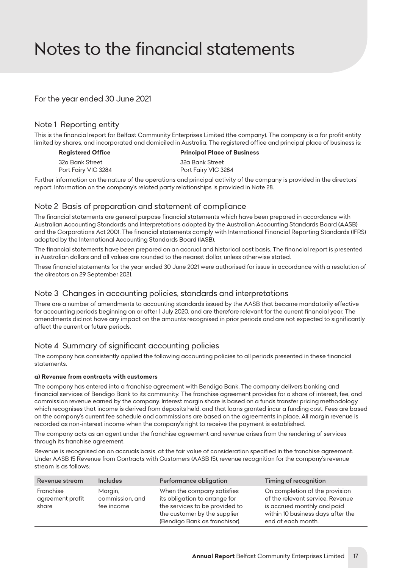# <span id="page-17-0"></span>*Notes to the financial statements*

*For the year ended 30 June 2021*

## *Note 1 Reporting entity*

*This is the financial report for Belfast Community Enterprises Limited (the company). The company is a for profit entity limited by shares, and incorporated and domiciled in Australia. The registered office and principal place of business is:*

*32a Bank Street 32a Bank Street* Port Fairy VIC 3284 Port Fairy VIC 3284

*Registered Office Principal Place of Business*

*Further information on the nature of the operations and principal activity of the company is provided in the directors' report. Information on the company's related party relationships is provided in Note 28.*

## *Note 2 Basis of preparation and statement of compliance*

*The financial statements are general purpose financial statements which have been prepared in accordance with Australian Accounting Standards and Interpretations adopted by the Australian Accounting Standards Board (AASB) and the Corporations Act 2001. The financial statements comply with International Financial Reporting Standards (IFRS) adopted by the International Accounting Standards Board (IASB).*

*The financial statements have been prepared on an accrual and historical cost basis. The financial report is presented in Australian dollars and all values are rounded to the nearest dollar, unless otherwise stated.*

*These financial statements for the year ended 30 June 2021 were authorised for issue in accordance with a resolution of the directors on 29 September 2021.*

# *Note 3 Changes in accounting policies, standards and interpretations*

*There are a number of amendments to accounting standards issued by the AASB that became mandatorily effective for accounting periods beginning on or after 1 July 2020, and are therefore relevant for the current financial year. The amendments did not have any impact on the amounts recognised in prior periods and are not expected to significantly affect the current or future periods.*

# *Note 4 Summary of significant accounting policies*

The company has consistently applied the following accounting policies to all periods presented in these financial *statements.*

#### *a) Revenue from contracts with customers*

*The company has entered into a franchise agreement with Bendigo Bank. The company delivers banking and financial services of Bendigo Bank to its community. The franchise agreement provides for a share of interest, fee, and commission revenue earned by the company. Interest margin share is based on a funds transfer pricing methodology which recognises that income is derived from deposits held, and that loans granted incur a funding cost. Fees are based on the company's current fee schedule and commissions are based on the agreements in place. All margin revenue is recorded as non-interest income when the company's right to receive the payment is established.*

*The company acts as an agent under the franchise agreement and revenue arises from the rendering of services through its franchise agreement.*

*Revenue is recognised on an accruals basis, at the fair value of consideration specified in the franchise agreement. Under AASB 15 Revenue from Contracts with Customers (AASB 15), revenue recognition for the company's revenue stream is as follows:*

| Revenue stream                         | <b>Includes</b>                          | Performance obligation                                                                                                                                         | Timing of recognition                                                                                                                                        |
|----------------------------------------|------------------------------------------|----------------------------------------------------------------------------------------------------------------------------------------------------------------|--------------------------------------------------------------------------------------------------------------------------------------------------------------|
| Franchise<br>agreement profit<br>share | Margin,<br>commission, and<br>fee income | When the company satisfies<br>its obligation to arrange for<br>the services to be provided to<br>the customer by the supplier<br>(Bendigo Bank as franchisor). | On completion of the provision<br>of the relevant service. Revenue<br>is accrued monthly and paid<br>within 10 business days after the<br>end of each month. |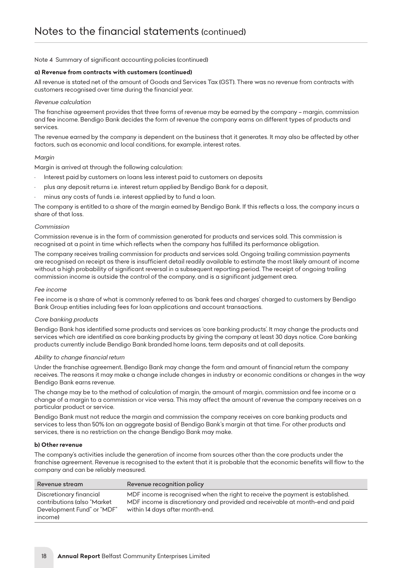#### *a) Revenue from contracts with customers (continued)*

*All revenue is stated net of the amount of Goods and Services Tax (GST). There was no revenue from contracts with customers recognised over time during the financial year.*

#### *Revenue calculation*

*The franchise agreement provides that three forms of revenue may be earned by the company – margin, commission and fee income. Bendigo Bank decides the form of revenue the company earns on different types of products and services.*

The revenue earned by the company is dependent on the business that it generates. It may also be affected by other *factors, such as economic and local conditions, for example, interest rates.*

#### *Margin*

*Margin is arrived at through the following calculation:*

- *• Interest paid by customers on loans less interest paid to customers on deposits*
- *• plus any deposit returns i.e. interest return applied by Bendigo Bank for a deposit,*
- *• minus any costs of funds i.e. interest applied by to fund a loan.*

*The company is entitled to a share of the margin earned by Bendigo Bank. If this reflects a loss, the company incurs a share of that loss.*

#### *Commission*

*Commission revenue is in the form of commission generated for products and services sold. This commission is recognised at a point in time which reflects when the company has fulfilled its performance obligation.*

*The company receives trailing commission for products and services sold. Ongoing trailing commission payments are recognised on receipt as there is insufficient detail readily available to estimate the most likely amount of income*  without a high probability of significant reversal in a subsequent reporting period. The receipt of ongoing trailing *commission income is outside the control of the company, and is a significant judgement area.*

#### *Fee income*

*Fee income is a share of what is commonly referred to as 'bank fees and charges' charged to customers by Bendigo Bank Group entities including fees for loan applications and account transactions.*

#### *Core banking products*

*Bendigo Bank has identified some products and services as 'core banking products'. It may change the products and*  services which are identified as core banking products by giving the company at least 30 days notice. Core banking *products currently include Bendigo Bank branded home loans, term deposits and at call deposits.*

#### *Ability to change financial return*

*Under the franchise agreement, Bendigo Bank may change the form and amount of financial return the company*  receives. The reasons it may make a change include changes in industry or economic conditions or changes in the way *Bendigo Bank earns revenue.*

*The change may be to the method of calculation of margin, the amount of margin, commission and fee income or a change of a margin to a commission or vice versa. This may affect the amount of revenue the company receives on a particular product or service.*

*Bendigo Bank must not reduce the margin and commission the company receives on core banking products and services to less than 50% (on an aggregate basis) of Bendigo Bank's margin at that time. For other products and services, there is no restriction on the change Bendigo Bank may make.*

#### *b) Other revenue*

*The company's activities include the generation of income from sources other than the core products under the franchise agreement. Revenue is recognised to the extent that it is probable that the economic benefits will flow to the company and can be reliably measured.*

| Revenue stream                                                                                   | Revenue recognition policy                                                                                                                                                                         |
|--------------------------------------------------------------------------------------------------|----------------------------------------------------------------------------------------------------------------------------------------------------------------------------------------------------|
| Discretionary financial<br>contributions (also "Market"<br>Development Fund" or "MDF"<br>income) | MDF income is recognised when the right to receive the payment is established.<br>MDF income is discretionary and provided and receivable at month-end and paid<br>within 14 days after month-end. |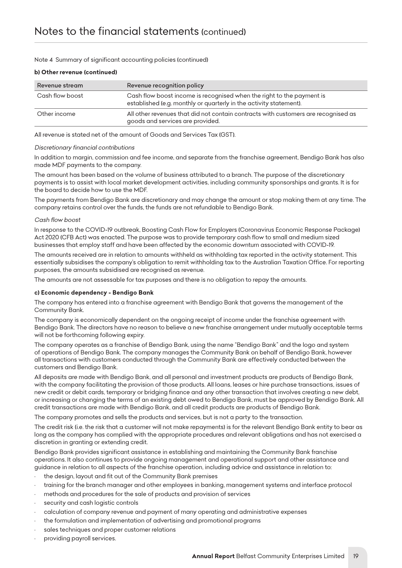#### *b) Other revenue (continued)*

| Revenue stream  | Revenue recognition policy                                                                                                                  |
|-----------------|---------------------------------------------------------------------------------------------------------------------------------------------|
| Cash flow boost | Cash flow boost income is recognised when the right to the payment is<br>established (e.g. monthly or quarterly in the activity statement). |
| Other income    | All other revenues that did not contain contracts with customers are recognised as<br>goods and services are provided.                      |

*All revenue is stated net of the amount of Goods and Services Tax (GST).*

#### *Discretionary financial contributions*

*In addition to margin, commission and fee income, and separate from the franchise agreement, Bendigo Bank has also made MDF payments to the company.*

*The amount has been based on the volume of business attributed to a branch. The purpose of the discretionary payments is to assist with local market development activities, including community sponsorships and grants. It is for the board to decide how to use the MDF.*

*The payments from Bendigo Bank are discretionary and may change the amount or stop making them at any time. The company retains control over the funds, the funds are not refundable to Bendigo Bank.*

#### *Cash flow boost*

*In response to the COVID-19 outbreak, Boosting Cash Flow for Employers (Coronavirus Economic Response Package) Act 2020 (CFB Act) was enacted. The purpose was to provide temporary cash flow to small and medium sized businesses that employ staff and have been affected by the economic downturn associated with COVID-19.*

*The amounts received are in relation to amounts withheld as withholding tax reported in the activity statement. This*  essentially subsidises the company's obligation to remit withholding tax to the Australian Taxation Office. For reporting *purposes, the amounts subsidised are recognised as revenue.*

*The amounts are not assessable for tax purposes and there is no obligation to repay the amounts.*

#### *c) Economic dependency - Bendigo Bank*

*The company has entered into a franchise agreement with Bendigo Bank that governs the management of the Community Bank.*

*The company is economically dependent on the ongoing receipt of income under the franchise agreement with Bendigo Bank. The directors have no reason to believe a new franchise arrangement under mutually acceptable terms will not be forthcoming following expiry.*

*The company operates as a franchise of Bendigo Bank, using the name "Bendigo Bank" and the logo and system of operations of Bendigo Bank. The company manages the Community Bank on behalf of Bendigo Bank, however all transactions with customers conducted through the Community Bank are effectively conducted between the customers and Bendigo Bank.*

*All deposits are made with Bendigo Bank, and all personal and investment products are products of Bendigo Bank,*  with the company facilitating the provision of those products. All loans, leases or hire purchase transactions, issues of *new credit or debit cards, temporary or bridging finance and any other transaction that involves creating a new debt, or increasing or changing the terms of an existing debt owed to Bendigo Bank, must be approved by Bendigo Bank. All credit transactions are made with Bendigo Bank, and all credit products are products of Bendigo Bank.*

*The company promotes and sells the products and services, but is not a party to the transaction.*

*The credit risk (i.e. the risk that a customer will not make repayments) is for the relevant Bendigo Bank entity to bear as long as the company has complied with the appropriate procedures and relevant obligations and has not exercised a discretion in granting or extending credit.*

*Bendigo Bank provides significant assistance in establishing and maintaining the Community Bank franchise operations. It also continues to provide ongoing management and operational support and other assistance and guidance in relation to all aspects of the franchise operation, including advice and assistance in relation to:*

- *• the design, layout and fit out of the Community Bank premises*
- *• training for the branch manager and other employees in banking, management systems and interface protocol*
- *• methods and procedures for the sale of products and provision of services*
- *• security and cash logistic controls*
- *• calculation of company revenue and payment of many operating and administrative expenses*
- *• the formulation and implementation of advertising and promotional programs*
- *• sales techniques and proper customer relations*
- *• providing payroll services.*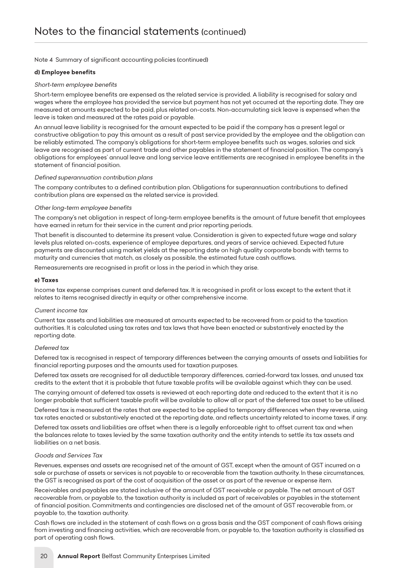#### *d) Employee benefits*

#### *Short-term employee benefits*

Short-term employee benefits are expensed as the related service is provided. A liability is recognised for salary and wages where the employee has provided the service but payment has not yet occurred at the reporting date. They are *measured at amounts expected to be paid, plus related on-costs. Non-accumulating sick leave is expensed when the leave is taken and measured at the rates paid or payable.*

*An annual leave liability is recognised for the amount expected to be paid if the company has a present legal or constructive obligation to pay this amount as a result of past service provided by the employee and the obligation can be reliably estimated. The company's obligations for short-term employee benefits such as wages, salaries and sick*  leave are recognised as part of current trade and other payables in the statement of financial position. The company's *obligations for employees' annual leave and long service leave entitlements are recognised in employee benefits in the statement of financial position.*

#### *Defined superannuation contribution plans*

The company contributes to a defined contribution plan. Obligations for superannuation contributions to defined *contribution plans are expensed as the related service is provided.*

#### *Other long-term employee benefits*

*The company's net obligation in respect of long-term employee benefits is the amount of future benefit that employees have earned in return for their service in the current and prior reporting periods.*

*That benefit is discounted to determine its present value. Consideration is given to expected future wage and salary levels plus related on-costs, experience of employee departures, and years of service achieved. Expected future payments are discounted using market yields at the reporting date on high quality corporate bonds with terms to maturity and currencies that match, as closely as possible, the estimated future cash outflows.*

*Remeasurements are recognised in profit or loss in the period in which they arise.*

#### *e) Taxes*

*Income tax expense comprises current and deferred tax. It is recognised in profit or loss except to the extent that it relates to items recognised directly in equity or other comprehensive income.*

#### *Current income tax*

*Current tax assets and liabilities are measured at amounts expected to be recovered from or paid to the taxation authorities. It is calculated using tax rates and tax laws that have been enacted or substantively enacted by the reporting date.*

#### *Deferred tax*

*Deferred tax is recognised in respect of temporary differences between the carrying amounts of assets and liabilities for financial reporting purposes and the amounts used for taxation purposes.*

*Deferred tax assets are recognised for all deductible temporary differences, carried-forward tax losses, and unused tax credits to the extent that it is probable that future taxable profits will be available against which they can be used.*

*The carrying amount of deferred tax assets is reviewed at each reporting date and reduced to the extent that it is no longer probable that sufficient taxable profit will be available to allow all or part of the deferred tax asset to be utilised.*

*Deferred tax is measured at the rates that are expected to be applied to temporary differences when they reverse, using tax rates enacted or substantively enacted at the reporting date, and reflects uncertainty related to income taxes, if any.*

*Deferred tax assets and liabilities are offset when there is a legally enforceable right to offset current tax and when the balances relate to taxes levied by the same taxation authority and the entity intends to settle its tax assets and liabilities on a net basis.*

#### *Goods and Services Tax*

*Revenues, expenses and assets are recognised net of the amount of GST, except when the amount of GST incurred on a sale or purchase of assets or services is not payable to or recoverable from the taxation authority. In these circumstances, the GST is recognised as part of the cost of acquisition of the asset or as part of the revenue or expense item.*

*Receivables and payables are stated inclusive of the amount of GST receivable or payable. The net amount of GST recoverable from, or payable to, the taxation authority is included as part of receivables or payables in the statement of financial position. Commitments and contingencies are disclosed net of the amount of GST recoverable from, or payable to, the taxation authority.*

*Cash flows are included in the statement of cash flows on a gross basis and the GST component of cash flows arising from investing and financing activities, which are recoverable from, or payable to, the taxation authority is classified as part of operating cash flows.*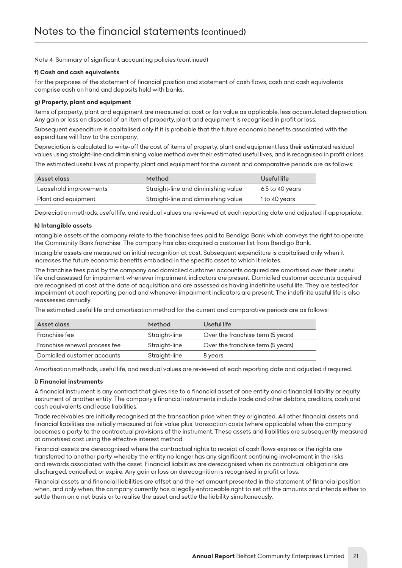#### *f) Cash and cash equivalents*

*For the purposes of the statement of financial position and statement of cash flows, cash and cash equivalents comprise cash on hand and deposits held with banks.*

#### *g) Property, plant and equipment*

*Items of property, plant and equipment are measured at cost or fair value as applicable, less accumulated depreciation. Any gain or loss on disposal of an item of property, plant and equipment is recognised in profit or loss.*

*Subsequent expenditure is capitalised only if it is probable that the future economic benefits associated with the expenditure will flow to the company.*

Depreciation is calculated to write-off the cost of items of property, plant and equipment less their estimated residual *values using straight-line and diminishing value method over their estimated useful lives, and is recognised in profit or loss. The estimated useful lives of property, plant and equipment for the current and comparative periods are as follows:*

| Asset class            | Method                              | Useful life     |
|------------------------|-------------------------------------|-----------------|
| Leasehold improvements | Straight-line and diminishing value | 6.5 to 40 years |
| Plant and equipment    | Straight-line and diminishing value | 1 to 40 years   |

*Depreciation methods, useful life, and residual values are reviewed at each reporting date and adjusted if appropriate.*

#### *h) Intangible assets*

*Intangible assets of the company relate to the franchise fees paid to Bendigo Bank which conveys the right to operate the Community Bank franchise. The company has also acquired a customer list from Bendigo Bank.*

*Intangible assets are measured on initial recognition at cost. Subsequent expenditure is capitalised only when it increases the future economic benefits embodied in the specific asset to which it relates.*

The franchise fees paid by the company and domiciled customer accounts acquired are amortised over their useful *life and assessed for impairment whenever impairment indicators are present. Domiciled customer accounts acquired are recognised at cost at the date of acquisition and are assessed as having indefinite useful life. They are tested for impairment at each reporting period and whenever impairment indicators are present. The indefinite useful life is also reassessed annually.*

*The estimated useful life and amortisation method for the current and comparative periods are as follows:*

| Asset class                   | Method        | Useful life                       |
|-------------------------------|---------------|-----------------------------------|
| Franchise fee                 | Straight-line | Over the franchise term (5 years) |
| Franchise renewal process fee | Straight-line | Over the franchise term (5 years) |
| Domiciled customer accounts   | Straight-line | 8 years                           |

*Amortisation methods, useful life, and residual values are reviewed at each reporting date and adjusted if required.*

#### *i) Financial instruments*

*A financial instrument is any contract that gives rise to a financial asset of one entity and a financial liability or equity instrument of another entity. The company's financial instruments include trade and other debtors, creditors, cash and cash equivalents and lease liabilities.*

*Trade receivables are initially recognised at the transaction price when they originated. All other financial assets and financial liabilities are initially measured at fair value plus, transaction costs (where applicable) when the company becomes a party to the contractual provisions of the instrument. These assets and liabilities are subsequently measured at amortised cost using the effective interest method.*

*Financial assets are derecognised where the contractual rights to receipt of cash flows expires or the rights are transferred to another party whereby the entity no longer has any significant continuing involvement in the risks and rewards associated with the asset. Financial liabilities are derecognised when its contractual obligations are discharged, cancelled, or expire. Any gain or loss on derecognition is recognised in profit or loss.*

*Financial assets and financial liabilities are offset and the net amount presented in the statement of financial position when, and only when, the company currently has a legally enforceable right to set off the amounts and intends either to settle them on a net basis or to realise the asset and settle the liability simultaneously.*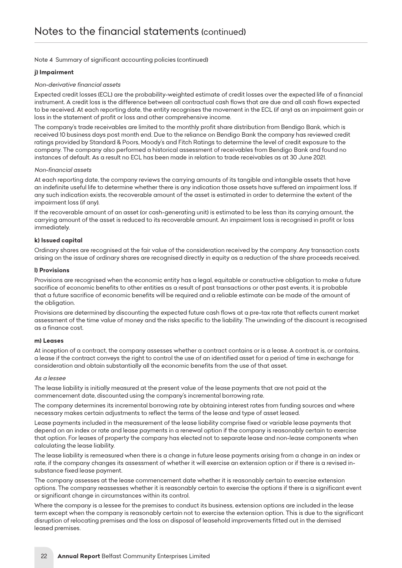#### *j) Impairment*

#### *Non-derivative financial assets*

*Expected credit losses (ECL) are the probability-weighted estimate of credit losses over the expected life of a financial instrument. A credit loss is the difference between all contractual cash flows that are due and all cash flows expected to be received. At each reporting date, the entity recognises the movement in the ECL (if any) as an impairment gain or loss in the statement of profit or loss and other comprehensive income.*

*The company's trade receivables are limited to the monthly profit share distribution from Bendigo Bank, which is received 10 business days post month end. Due to the reliance on Bendigo Bank the company has reviewed credit ratings provided by Standard & Poors, Moody's and Fitch Ratings to determine the level of credit exposure to the company. The company also performed a historical assessment of receivables from Bendigo Bank and found no instances of default. As a result no ECL has been made in relation to trade receivables as at 30 June 2021.*

#### *Non-financial assets*

*At each reporting date, the company reviews the carrying amounts of its tangible and intangible assets that have an indefinite useful life to determine whether there is any indication those assets have suffered an impairment loss. If any such indication exists, the recoverable amount of the asset is estimated in order to determine the extent of the impairment loss (if any).*

*If the recoverable amount of an asset (or cash-generating unit) is estimated to be less than its carrying amount, the carrying amount of the asset is reduced to its recoverable amount. An impairment loss is recognised in profit or loss immediately.*

#### *k) Issued capital*

*Ordinary shares are recognised at the fair value of the consideration received by the company. Any transaction costs arising on the issue of ordinary shares are recognised directly in equity as a reduction of the share proceeds received.*

#### *l) Provisions*

*Provisions are recognised when the economic entity has a legal, equitable or constructive obligation to make a future* sacrifice of economic benefits to other entities as a result of past transactions or other past events, it is probable that a future sacrifice of economic benefits will be required and a reliable estimate can be made of the amount of *the obligation.*

*Provisions are determined by discounting the expected future cash flows at a pre-tax rate that reflects current market assessment of the time value of money and the risks specific to the liability. The unwinding of the discount is recognised as a finance cost.*

#### *m) Leases*

*At inception of a contract, the company assesses whether a contract contains or is a lease. A contract is, or contains, a lease if the contract conveys the right to control the use of an identified asset for a period of time in exchange for consideration and obtain substantially all the economic benefits from the use of that asset.*

#### *As a lessee*

The lease liability is initially measured at the present value of the lease payments that are not paid at the *commencement date, discounted using the company's incremental borrowing rate.*

*The company determines its incremental borrowing rate by obtaining interest rates from funding sources and where necessary makes certain adjustments to reflect the terms of the lease and type of asset leased.*

Lease payments included in the measurement of the lease liability comprise fixed or variable lease payments that *depend on an index or rate and lease payments in a renewal option if the company is reasonably certain to exercise*  that option. For leases of property the company has elected not to separate lease and non-lease components when *calculating the lease liability.*

*The lease liability is remeasured when there is a change in future lease payments arising from a change in an index or rate, if the company changes its assessment of whether it will exercise an extension option or if there is a revised insubstance fixed lease payment.*

*The company assesses at the lease commencement date whether it is reasonably certain to exercise extension options. The company reassesses whether it is reasonably certain to exercise the options if there is a significant event or significant change in circumstances within its control.*

*Where the company is a lessee for the premises to conduct its business, extension options are included in the lease*  term except when the company is reasonably certain not to exercise the extension option. This is due to the significant *disruption of relocating premises and the loss on disposal of leasehold improvements fitted out in the demised leased premises.*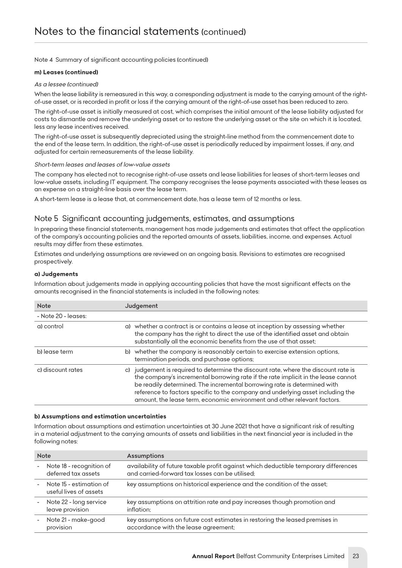#### *m) Leases (continued)*

#### *As a lessee (continued)*

*When the lease liability is remeasured in this way, a corresponding adjustment is made to the carrying amount of the rightof-use asset, or is recorded in profit or loss if the carrying amount of the right-of-use asset has been reduced to zero.*

*The right-of-use asset is initially measured at cost, which comprises the initial amount of the lease liability adjusted for costs to dismantle and remove the underlying asset or to restore the underlying asset or the site on which it is located, less any lease incentives received.*

*The right-of-use asset is subsequently depreciated using the straight-line method from the commencement date to the end of the lease term. In addition, the right-of-use asset is periodically reduced by impairment losses, if any, and adjusted for certain remeasurements of the lease liability.*

#### *Short-term leases and leases of low-value assets*

*The company has elected not to recognise right-of-use assets and lease liabilities for leases of short-term leases and low-value assets, including IT equipment. The company recognises the lease payments associated with these leases as an expense on a straight-line basis over the lease term.*

*A short-term lease is a lease that, at commencement date, has a lease term of 12 months or less.*

# *Note 5 Significant accounting judgements, estimates, and assumptions*

*In preparing these financial statements, management has made judgements and estimates that affect the application of the company's accounting policies and the reported amounts of assets, liabilities, income, and expenses. Actual results may differ from these estimates.*

*Estimates and underlying assumptions are reviewed on an ongoing basis. Revisions to estimates are recognised prospectively.*

#### *a) Judgements*

*Information about judgements made in applying accounting policies that have the most significant effects on the amounts recognised in the financial statements is included in the following notes:*

| <b>Note</b>         | Judgement                                                                                                                                                                                                                                                                                                                                                                                                              |
|---------------------|------------------------------------------------------------------------------------------------------------------------------------------------------------------------------------------------------------------------------------------------------------------------------------------------------------------------------------------------------------------------------------------------------------------------|
| - Note 20 - leases: |                                                                                                                                                                                                                                                                                                                                                                                                                        |
| a) control          | a) whether a contract is or contains a lease at inception by assessing whether<br>the company has the right to direct the use of the identified asset and obtain<br>substantially all the economic benefits from the use of that asset;                                                                                                                                                                                |
| b) lease term       | b) whether the company is reasonably certain to exercise extension options,<br>termination periods, and purchase options;                                                                                                                                                                                                                                                                                              |
| c) discount rates   | judgement is required to determine the discount rate, where the discount rate is<br>C)<br>the company's incremental borrowing rate if the rate implicit in the lease cannot<br>be readily determined. The incremental borrowing rate is determined with<br>reference to factors specific to the company and underlying asset including the<br>amount, the lease term, economic environment and other relevant factors. |

#### *b) Assumptions and estimation uncertainties*

*Information about assumptions and estimation uncertainties at 30 June 2021 that have a significant risk of resulting in a material adjustment to the carrying amounts of assets and liabilities in the next financial year is included in the following notes:*

|            | <b>Note</b>                                       | Assumptions                                                                                                                             |
|------------|---------------------------------------------------|-----------------------------------------------------------------------------------------------------------------------------------------|
| $\sim$     | Note 18 - recognition of<br>deferred tax assets   | availability of future taxable profit against which deductible temporary differences<br>and carried-forward tax losses can be utilised; |
|            | Note 15 - estimation of<br>useful lives of assets | key assumptions on historical experience and the condition of the asset;                                                                |
|            | - Note 22 - long service<br>leave provision       | key assumptions on attrition rate and pay increases though promotion and<br>inflation:                                                  |
| $\sim$ $-$ | Note 21 - make-good<br>provision                  | key assumptions on future cost estimates in restoring the leased premises in<br>accordance with the lease agreement;                    |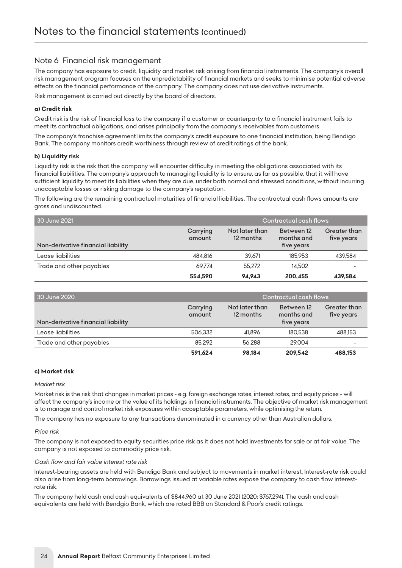## *Note 6 Financial risk management*

The company has exposure to credit, liquidity and market risk arising from financial instruments. The company's overall risk management program focuses on the unpredictability of financial markets and seeks to minimise potential adverse *effects on the financial performance of the company. The company does not use derivative instruments.*

*Risk management is carried out directly by the board of directors.*

#### *a) Credit risk*

*Credit risk is the risk of financial loss to the company if a customer or counterparty to a financial instrument fails to meet its contractual obligations, and arises principally from the company's receivables from customers.*

*The company's franchise agreement limits the company's credit exposure to one financial institution, being Bendigo Bank. The company monitors credit worthiness through review of credit ratings of the bank.*

#### *b) Liquidity risk*

*Liquidity risk is the risk that the company will encounter difficulty in meeting the obligations associated with its financial liabilities. The company's approach to managing liquidity is to ensure, as far as possible, that it will have sufficient liquidity to meet its liabilities when they are due, under both normal and stressed conditions, without incurring unacceptable losses or risking damage to the company's reputation.*

*The following are the remaining contractual maturities of financial liabilities. The contractual cash flows amounts are gross and undiscounted.*

| 30 June 2021                       | Contractual cash flows |                             |                                        |                                   |
|------------------------------------|------------------------|-----------------------------|----------------------------------------|-----------------------------------|
| Non-derivative financial liability | Carrying<br>amount     | Not later than<br>12 months | Between 12<br>months and<br>five years | <b>Greater than</b><br>five years |
| Lease liabilities                  | 484.816                | 39.671                      | 185,953                                | 439.584                           |
| Trade and other payables           | 69.774                 | 55.272                      | 14.502                                 |                                   |
|                                    | 554,590                | 94.943                      | 200,455                                | 439.584                           |

| 30 June 2020                       | Contractual cash flows |                             |                                        |                            |
|------------------------------------|------------------------|-----------------------------|----------------------------------------|----------------------------|
| Non-derivative financial liability | Carrying<br>amount     | Not later than<br>12 months | Between 12<br>months and<br>five years | Greater than<br>five years |
| Lease liabilities                  | 506.332                | 41.896                      | 180.538                                | 488.153                    |
| Trade and other payables           | 85.292                 | 56.288                      | 29.004                                 |                            |
|                                    | 591,624                | 98.184                      | 209,542                                | 488.153                    |

#### *c) Market risk*

#### *Market risk*

*Market risk is the risk that changes in market prices - e.g. foreign exchange rates, interest rates, and equity prices - will affect the company's income or the value of its holdings in financial instruments. The objective of market risk management is to manage and control market risk exposures within acceptable parameters, while optimising the return.*

*The company has no exposure to any transactions denominated in a currency other than Australian dollars.*

#### *Price risk*

*The company is not exposed to equity securities price risk as it does not hold investments for sale or at fair value. The company is not exposed to commodity price risk.*

#### *Cash flow and fair value interest rate risk*

*Interest-bearing assets are held with Bendigo Bank and subject to movements in market interest. Interest-rate risk could also arise from long-term borrowings. Borrowings issued at variable rates expose the company to cash flow interestrate risk.*

*The company held cash and cash equivalents of \$844,960 at 30 June 2021 (2020: \$767,294). The cash and cash equivalents are held with Bendgio Bank, which are rated BBB on Standard & Poor's credit ratings.*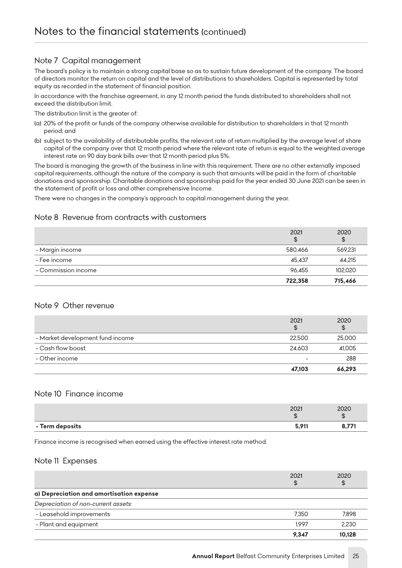# *Note 7 Capital management*

*The board's policy is to maintain a strong capital base so as to sustain future development of the company. The board of directors monitor the return on capital and the level of distributions to shareholders. Capital is represented by total equity as recorded in the statement of financial position.*

*In accordance with the franchise agreement, in any 12 month period the funds distributed to shareholders shall not exceed the distribution limit.*

*The distribution limit is the greater of:*

- *(a) 20% of the profit or funds of the company otherwise available for distribution to shareholders in that 12 month period; and*
- *(b) subject to the availability of distributable profits, the relevant rate of return multiplied by the average level of share*  capital of the company over that 12 month period where the relevant rate of return is equal to the weighted average *interest rate on 90 day bank bills over that 12 month period plus 5%.*

*The board is managing the growth of the business in line with this requirement. There are no other externally imposed capital requirements, although the nature of the company is such that amounts will be paid in the form of charitable donations and sponsorship. Charitable donations and sponsorship paid for the year ended 30 June 2021 can be seen in the statement of profit or loss and other comprehensive Income.*

*There were no changes in the company's approach to capital management during the year.*

# *Note 8 Revenue from contracts with customers*

|                     | 2021<br>\$ | 2020    |
|---------------------|------------|---------|
| - Margin income     | 580.466    | 569.231 |
| - Fee income        | 45.437     | 44.215  |
| - Commission income | 96.455     | 102.020 |
|                     | 722,358    | 715,466 |

### *Note 9 Other revenue*

|                                  | 47,103     | 66,293     |
|----------------------------------|------------|------------|
| - Other income                   |            | 288        |
| - Cash flow boost                | 24.603     | 41.005     |
| - Market development fund income | 22,500     | 25,000     |
|                                  | 2021<br>\$ | 2020<br>\$ |

#### *Note 10 Finance income*

|                 | 2021<br>w    | 202C |
|-----------------|--------------|------|
| - Term deposits | <b>E 011</b> |      |

*Finance income is recognised when earned using the effective interest rate method.*

#### *Note 11 Expenses*

|                                          | 2021<br>\$ | 2020<br>\$ |
|------------------------------------------|------------|------------|
| a) Depreciation and amortisation expense |            |            |
| Depreciation of non-current assets:      |            |            |
| - Leasehold improvements                 | 7.350      | 7.898      |
| - Plant and equipment                    | 1.997      | 2.230      |
|                                          | 9.347      | 10.128     |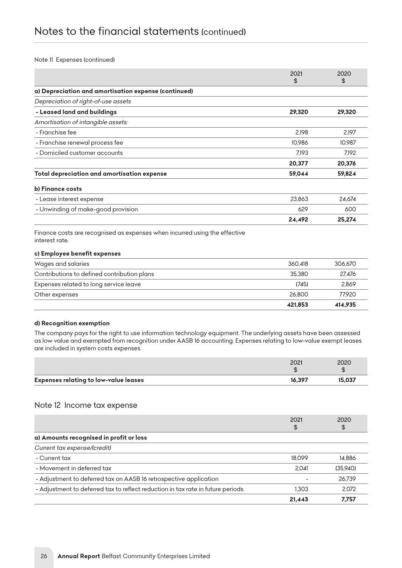#### *Note 11 Expenses (continued)*

|                                                      | 2021   | 2020   |
|------------------------------------------------------|--------|--------|
|                                                      | \$     | \$     |
| a) Depreciation and amortisation expense (continued) |        |        |
| Depreciation of right-of-use assets                  |        |        |
| - Leased land and buildings                          | 29,320 | 29,320 |
| Amortisation of intangible assets:                   |        |        |
| - Franchise fee                                      | 2.198  | 2,197  |
| - Franchise renewal process fee                      | 10.986 | 10,987 |
| - Domiciled customer accounts                        | 7.193  | 7,192  |
|                                                      | 20,377 | 20,376 |
| Total depreciation and amortisation expense          | 59,044 | 59,824 |
| b) Finance costs                                     |        |        |
| - Lease interest expense                             | 23,863 | 24,674 |
| - Unwinding of make-good provision                   | 629    | 600    |
|                                                      | 24,492 | 25,274 |

*interest rate.*

#### *c) Employee benefit expenses*

|                                             | 421.853 | 414.935 |
|---------------------------------------------|---------|---------|
| Other expenses                              | 26.800  | 77.920  |
| Expenses related to long service leave      | (745)   | 2.869   |
| Contributions to defined contribution plans | 35.380  | 27.476  |
| Wages and salaries                          | 360.418 | 306.670 |

#### *d) Recognition exemption*

*The company pays for the right to use information technology equipment. The underlying assets have been assessed as low value and exempted from recognition under AASB 16 accounting. Expenses relating to low-value exempt leases are included in system costs expenses.*

|                                              | 2021   | 202C   |
|----------------------------------------------|--------|--------|
| <b>Expenses relating to low-value leases</b> | 16.397 | 15.037 |

#### *Note 12 Income tax expense*

|                                                                                 | 2021<br>\$ | 2020<br>\$ |
|---------------------------------------------------------------------------------|------------|------------|
| a) Amounts recognised in profit or loss                                         |            |            |
| Current tax expense/(credit)                                                    |            |            |
| - Current tax                                                                   | 18.099     | 14.886     |
| - Movement in deferred tax                                                      | 2.041      | (35.940)   |
| - Adjustment to deferred tax on AASB 16 retrospective application               |            | 26.739     |
| - Adjustment to deferred tax to reflect reduction in tax rate in future periods | 1.303      | 2.072      |
|                                                                                 | 21,443     | 7.757      |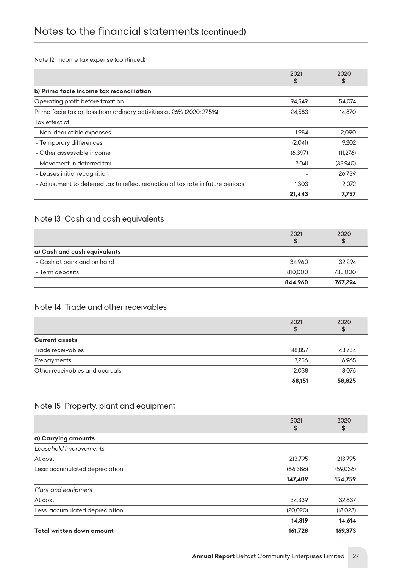*Note 12 Income tax expense (continued)*

|                                                                                 | 2021<br>\$ | 2020<br>\$ |
|---------------------------------------------------------------------------------|------------|------------|
| b) Prima facie income tax reconciliation                                        |            |            |
| Operating profit before taxation                                                | 94.549     | 54.074     |
| Prima facie tax on loss from ordinary activities at 26% (2020: 27.5%)           | 24.583     | 14.870     |
| Tax effect of:                                                                  |            |            |
| - Non-deductible expenses                                                       | 1.954      | 2.090      |
| - Temporary differences                                                         | (2.041)    | 9.202      |
| - Other assessable income                                                       | (6.397)    | (11, 276)  |
| - Movement in deferred tax                                                      | 2.041      | (35.940)   |
| - Leases initial recognition                                                    |            | 26.739     |
| - Adjustment to deferred tax to reflect reduction of tax rate in future periods | 1.303      | 2.072      |
|                                                                                 | 21.443     | 7.757      |

# *Note 13 Cash and cash equivalents*

|                              | 2021<br>\$ | 2020<br>\$ |
|------------------------------|------------|------------|
| a) Cash and cash equivalents |            |            |
| - Cash at bank and on hand   | 34.960     | 32.294     |
| - Term deposits              | 810,000    | 735,000    |
|                              | 844.960    | 767.294    |

# *Note 14 Trade and other receivables*

|                                | 2021<br>\$ | 2020<br>\$ |
|--------------------------------|------------|------------|
| <b>Current assets</b>          |            |            |
| Trade receivables              | 48.857     | 43,784     |
| Prepayments                    | 7.256      | 6,965      |
| Other receivables and accruals | 12.038     | 8.076      |
|                                | 68,151     | 58,825     |

# *Note 15 Property, plant and equipment*

|                                | 2021<br>\$ | 2020<br>\$ |
|--------------------------------|------------|------------|
| a) Carrying amounts            |            |            |
| Leasehold improvements         |            |            |
| At cost                        | 213.795    | 213.795    |
| Less: accumulated depreciation | (66.386)   | (59,036)   |
|                                | 147,409    | 154,759    |
| Plant and equipment            |            |            |
| At cost                        | 34.339     | 32,637     |
| Less: accumulated depreciation | (20,020)   | (18,023)   |
|                                | 14,319     | 14,614     |
| Total written down amount      | 161,728    | 169,373    |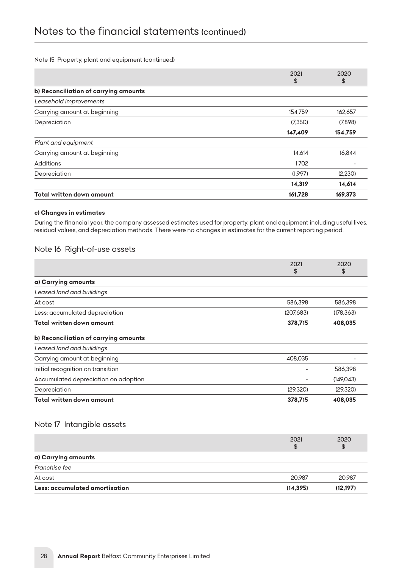#### *Note 15 Property, plant and equipment (continued)*

|                                       | 2021<br>\$ | 2020<br>\$ |
|---------------------------------------|------------|------------|
| b) Reconciliation of carrying amounts |            |            |
| Leasehold improvements                |            |            |
| Carrying amount at beginning          | 154.759    | 162.657    |
| Depreciation                          | (7.350)    | (7.898)    |
|                                       | 147,409    | 154,759    |
| Plant and equipment                   |            |            |
| Carrying amount at beginning          | 14.614     | 16,844     |
| Additions                             | 1.702      |            |
| Depreciation                          | (1,997)    | (2,230)    |
|                                       | 14,319     | 14,614     |
| Total written down amount             | 161,728    | 169,373    |

#### *c) Changes in estimates*

*During the financial year, the company assessed estimates used for property, plant and equipment including useful lives, residual values, and depreciation methods. There were no changes in estimates for the current reporting period.*

## *Note 16 Right-of-use assets*

|                                       | 2021<br>\$ | 2020<br>\$ |
|---------------------------------------|------------|------------|
| a) Carrying amounts                   |            |            |
| Leased land and buildings             |            |            |
| At cost                               | 586,398    | 586,398    |
| Less: accumulated depreciation        | (207,683)  | (178, 363) |
| Total written down amount             | 378,715    | 408,035    |
| b) Reconciliation of carrying amounts |            |            |
| Leased land and buildings             |            |            |
| Carrying amount at beginning          | 408,035    |            |
| Initial recognition on transition     |            | 586,398    |
| Accumulated depreciation on adoption  |            | (149, 043) |
| Depreciation                          | (29, 320)  | (29, 320)  |
| Total written down amount             | 378,715    | 408,035    |

### *Note 17 Intangible assets*

|                                | 2021<br>S | 2020<br>\$ |
|--------------------------------|-----------|------------|
| a) Carrying amounts            |           |            |
| Franchise fee                  |           |            |
| At cost                        | 20.987    | 20.987     |
| Less: accumulated amortisation | (14, 395) | (12, 197)  |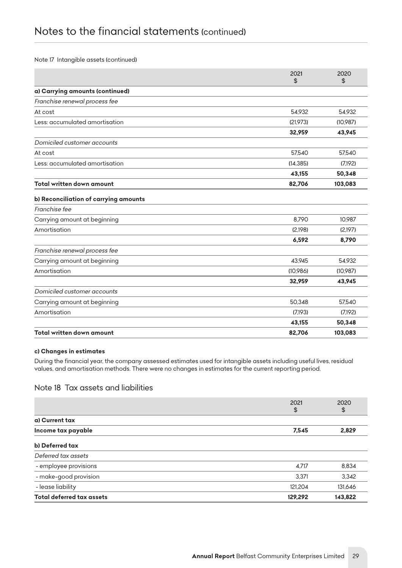#### *Note 17 Intangible assets (continued)*

|                                       | 2021<br>\$ | 2020<br>\$ |
|---------------------------------------|------------|------------|
| a) Carrying amounts (continued)       |            |            |
| Franchise renewal process fee         |            |            |
| At cost                               | 54,932     | 54,932     |
| Less: accumulated amortisation        | (21.973)   | (10,987)   |
|                                       | 32,959     | 43,945     |
| Domiciled customer accounts           |            |            |
| At cost                               | 57,540     | 57,540     |
| Less: accumulated amortisation        | (14, 385)  | (7.192)    |
|                                       | 43,155     | 50,348     |
| Total written down amount             | 82,706     | 103,083    |
| b) Reconciliation of carrying amounts |            |            |
| Franchise fee                         |            |            |
| Carrying amount at beginning          | 8,790      | 10,987     |
| Amortisation                          | (2,198)    | (2.197)    |
|                                       | 6,592      | 8,790      |
| Franchise renewal process fee         |            |            |
| Carrying amount at beginning          | 43,945     | 54,932     |
| Amortisation                          | (10,986)   | (10,987)   |
|                                       | 32,959     | 43,945     |
| Domiciled customer accounts           |            |            |
| Carrying amount at beginning          | 50,348     | 57,540     |
| Amortisation                          | (7.193)    | (7,192)    |
|                                       | 43,155     | 50,348     |
| Total written down amount             | 82,706     | 103,083    |

#### *c) Changes in estimates*

*During the financial year, the company assessed estimates used for intangible assets including useful lives, residual values, and amortisation methods. There were no changes in estimates for the current reporting period.*

### *Note 18 Tax assets and liabilities*

|                                  | 2021<br>\$ | 2020<br>\$ |
|----------------------------------|------------|------------|
| a) Current tax                   |            |            |
| Income tax payable               | 7,545      | 2,829      |
| b) Deferred tax                  |            |            |
| Deferred tax assets              |            |            |
| - employee provisions            | 4.717      | 8,834      |
| - make-good provision            | 3.371      | 3,342      |
| - lease liability                | 121,204    | 131,646    |
| <b>Total deferred tax assets</b> | 129,292    | 143,822    |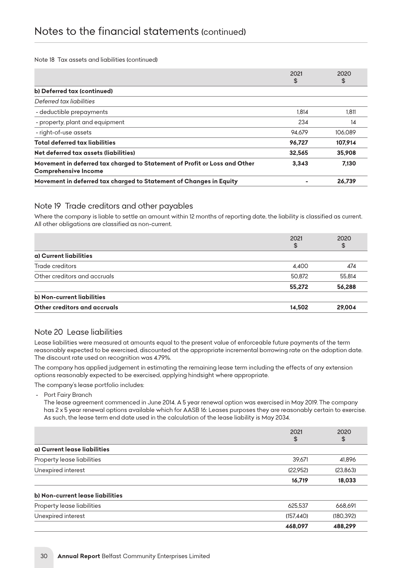*Note 18 Tax assets and liabilities (continued)*

|                                                                                                          | 2021<br>\$ | 2020<br>\$ |
|----------------------------------------------------------------------------------------------------------|------------|------------|
| b) Deferred tax (continued)                                                                              |            |            |
| Deferred tax liabilities                                                                                 |            |            |
| - deductible prepayments                                                                                 | 1.814      | 1.811      |
| - property, plant and equipment                                                                          | 234        | 14         |
| - right-of-use assets                                                                                    | 94.679     | 106.089    |
| <b>Total deferred tax liabilities</b>                                                                    | 96.727     | 107,914    |
| Net deferred tax assets (liabilities)                                                                    | 32.565     | 35,908     |
| Movement in deferred tax charged to Statement of Profit or Loss and Other<br><b>Comprehensive Income</b> | 3.343      | 7,130      |
| Movement in deferred tax charged to Statement of Changes in Equity                                       |            | 26.739     |

## *Note 19 Trade creditors and other payables*

Where the company is liable to settle an amount within 12 months of reporting date, the liability is classified as current. *All other obligations are classified as non-current.*

|                              | 2021<br>\$ | 2020<br>\$ |
|------------------------------|------------|------------|
| a) Current liabilities       |            |            |
| Trade creditors              | 4.400      | 474        |
| Other creditors and accruals | 50,872     | 55.814     |
|                              | 55,272     | 56,288     |
| b) Non-current liabilities   |            |            |
| Other creditors and accruals | 14,502     | 29,004     |

# *Note 20 Lease liabilities*

*Lease liabilities were measured at amounts equal to the present value of enforceable future payments of the term reasonably expected to be exercised, discounted at the appropriate incremental borrowing rate on the adoption date. The discount rate used on recognition was 4.79%.*

*The company has applied judgement in estimating the remaining lease term including the effects of any extension options reasonably expected to be exercised, applying hindsight where appropriate.*

*The company's lease portfolio includes:*

 *- Port Fairy Branch* 

*The lease agreement commenced in June 2014. A 5 year renewal option was exercised in May 2019. The company has 2 x 5 year renewal options available which for AASB 16: Leases purposes they are reasonably certain to exercise. As such, the lease term end date used in the calculation of the lease liability is May 2034.*

|                                  | 2021       | 2020      |
|----------------------------------|------------|-----------|
|                                  | \$         | \$        |
| a) Current lease liabilities     |            |           |
| Property lease liabilities       | 39.671     | 41,896    |
| Unexpired interest               | (22,952)   | (23,863)  |
|                                  | 16,719     | 18,033    |
| b) Non-current lease liabilities |            |           |
| Property lease liabilities       | 625.537    | 668.691   |
| Unexpired interest               | (157, 440) | (180.392) |
|                                  | 468,097    | 488,299   |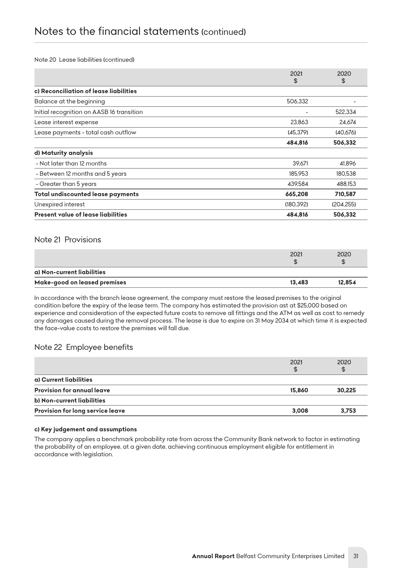#### *Note 20 Lease liabilities (continued)*

|                                           | 2021      | 2020       |
|-------------------------------------------|-----------|------------|
|                                           | \$        | \$         |
| c) Reconciliation of lease liabilities    |           |            |
| Balance at the beginning                  | 506,332   |            |
| Initial recognition on AASB 16 transition |           | 522,334    |
| Lease interest expense                    | 23,863    | 24,674     |
| Lease payments - total cash outflow       | (45.379)  | (40,676)   |
|                                           | 484,816   | 506,332    |
| d) Maturity analysis                      |           |            |
| - Not later than 12 months                | 39.671    | 41.896     |
| - Between 12 months and 5 years           | 185,953   | 180,538    |
| - Greater than 5 years                    | 439.584   | 488.153    |
| Total undiscounted lease payments         | 665,208   | 710,587    |
| Unexpired interest                        | (180.392) | (204, 255) |
| Present value of lease liabilities        | 484,816   | 506,332    |

#### *Note 21 Provisions*

|                              | 2021   | 2020   |
|------------------------------|--------|--------|
| a) Non-current liabilities   |        |        |
| Make-good on leased premises | 13.483 | 12.854 |

*In accordance with the branch lease agreement, the company must restore the leased premises to the original condition before the expiry of the lease term. The company has estimated the provision ast at \$25,000 based on experience and consideration of the expected future costs to remove all fittings and the ATM as well as cost to remedy any damages caused during the removal process. The lease is due to expire on 31 May 2034 at which time it is expected the face-value costs to restore the premises will fall due.*

### *Note 22 Employee benefits*

|                                   | 2021<br>\$ | 2020   |
|-----------------------------------|------------|--------|
| a) Current liabilities            |            |        |
| <b>Provision for annual leave</b> | 15.860     | 30.225 |
| b) Non-current liabilities        |            |        |
| Provision for long service leave  | 3.008      | 3.753  |

#### *c) Key judgement and assumptions*

The company applies a benchmark probability rate from across the Community Bank network to factor in estimating *the probability of an employee, at a given date, achieving continuous employment eligible for entitlement in accordance with legislation.*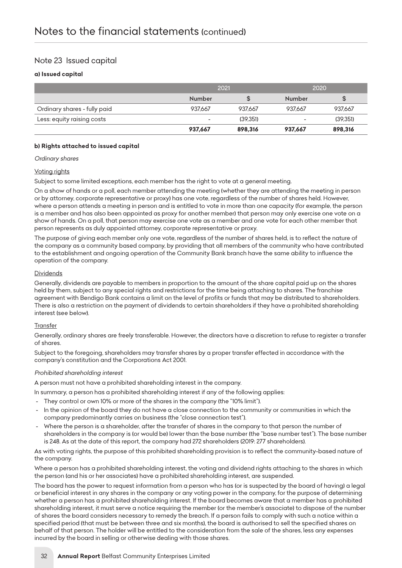# *Note 23 Issued capital*

#### *a) Issued capital*

|                              | 2021    |          | 2020                     |          |
|------------------------------|---------|----------|--------------------------|----------|
|                              | Number  |          | Number                   | \$       |
| Ordinary shares - fully paid | 937.667 | 937.667  | 937.667                  | 937.667  |
| Less: equity raising costs   | $\sim$  | (39.351) | $\overline{\phantom{0}}$ | (39.351) |
|                              | 937.667 | 898,316  | 937.667                  | 898,316  |

#### *b) Rights attached to issued capital*

*Ordinary shares*

#### *Voting rights*

*Subject to some limited exceptions, each member has the right to vote at a general meeting.*

*On a show of hands or a poll, each member attending the meeting (whether they are attending the meeting in person or by attorney, corporate representative or proxy) has one vote, regardless of the number of shares held. However,*  where a person attends a meeting in person and is entitled to vote in more than one capacity (for example, the person is a member and has also been appointed as proxy for another member) that person may only exercise one vote on a *show of hands. On a poll, that person may exercise one vote as a member and one vote for each other member that person represents as duly appointed attorney, corporate representative or proxy.*

The purpose of giving each member only one vote, regardless of the number of shares held, is to reflect the nature of *the company as a community based company, by providing that all members of the community who have contributed*  to the establishment and ongoing operation of the Community Bank branch have the same ability to influence the *operation of the company.*

#### *Dividends*

*Generally, dividends are payable to members in proportion to the amount of the share capital paid up on the shares held by them, subject to any special rights and restrictions for the time being attaching to shares. The franchise agreement with Bendigo Bank contains a limit on the level of profits or funds that may be distributed to shareholders. There is also a restriction on the payment of dividends to certain shareholders if they have a prohibited shareholding interest (see below).*

#### *Transfer*

*Generally, ordinary shares are freely transferable. However, the directors have a discretion to refuse to register a transfer of shares.*

*Subject to the foregoing, shareholders may transfer shares by a proper transfer effected in accordance with the company's constitution and the Corporations Act 2001.*

#### *Prohibited shareholding interest*

*A person must not have a prohibited shareholding interest in the company.*

*In summary, a person has a prohibited shareholding interest if any of the following applies:*

- *They control or own 10% or more of the shares in the company (the "10% limit").*
- In the opinion of the board they do not have a close connection to the community or communities in which the *company predominantly carries on business (the "close connection test").*
- Where the person is a shareholder, after the transfer of shares in the company to that person the number of shareholders in the company is (or would be) lower than the base number (the "base number test"). The base number *is 248. As at the date of this report, the company had 272 shareholders (2019: 277 shareholders).*

As with voting rights, the purpose of this prohibited shareholding provision is to reflect the community-based nature of *the company.*

*Where a person has a prohibited shareholding interest, the voting and dividend rights attaching to the shares in which the person (and his or her associates) have a prohibited shareholding interest, are suspended.*

*The board has the power to request information from a person who has (or is suspected by the board of having) a legal or beneficial interest in any shares in the company or any voting power in the company, for the purpose of determining*  whether a person has a prohibited shareholding interest. If the board becomes aware that a member has a prohibited *shareholding interest, it must serve a notice requiring the member (or the member's associate) to dispose of the number of shares the board considers necessary to remedy the breach. If a person fails to comply with such a notice within a specified period (that must be between three and six months), the board is authorised to sell the specified shares on behalf of that person. The holder will be entitled to the consideration from the sale of the shares, less any expenses incurred by the board in selling or otherwise dealing with those shares.*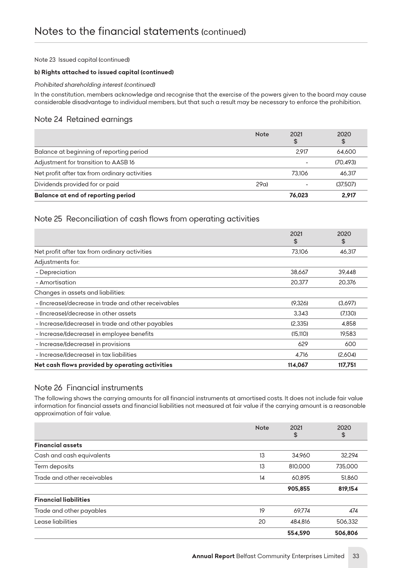#### *Note 23 Issued capital (continued)*

#### *b) Rights attached to issued capital (continued)*

#### *Prohibited shareholding interest (continued)*

In the constitution, members acknowledge and recognise that the exercise of the powers given to the board may cause *considerable disadvantage to individual members, but that such a result may be necessary to enforce the prohibition.*

## *Note 24 Retained earnings*

|                                               | <b>Note</b> | 2021<br>\$ | 2020<br>\$ |
|-----------------------------------------------|-------------|------------|------------|
| Balance at beginning of reporting period      |             | 2.917      | 64.600     |
| Adjustment for transition to AASB 16          |             |            | (70.493)   |
| Net profit after tax from ordinary activities |             | 73.106     | 46.317     |
| Dividends provided for or paid                | 29a         |            | (37.507)   |
| <b>Balance at end of reporting period</b>     |             | 76.023     | 2.917      |

# *Note 25 Reconciliation of cash flows from operating activities*

|                                                      | 2021<br>\$ | 2020<br>\$ |
|------------------------------------------------------|------------|------------|
| Net profit after tax from ordinary activities        | 73.106     | 46,317     |
| Adjustments for:                                     |            |            |
| - Depreciation                                       | 38,667     | 39,448     |
| - Amortisation                                       | 20.377     | 20,376     |
| Changes in assets and liabilities:                   |            |            |
| - (Increase)/decrease in trade and other receivables | (9,326)    | (3,697)    |
| - (Increase)/decrease in other assets                | 3.343      | (7.130)    |
| - Increase/(decrease) in trade and other payables    | (2,335)    | 4.858      |
| - Increase/(decrease) in employee benefits           | (15, 110)  | 19,583     |
| - Increase/(decrease) in provisions                  | 629        | 600        |
| - Increase/(decrease) in tax liabilities             | 4.716      | (2.604)    |
| Net cash flows provided by operating activities      | 114,067    | 117,751    |

### *Note 26 Financial instruments*

*The following shows the carrying amounts for all financial instruments at amortised costs. It does not include fair value information for financial assets and financial liabilities not measured at fair value if the carrying amount is a reasonable approximation of fair value.*

|                              | <b>Note</b> | 2021<br>\$ | 2020<br>\$ |
|------------------------------|-------------|------------|------------|
| <b>Financial assets</b>      |             |            |            |
| Cash and cash equivalents    | 13          | 34.960     | 32,294     |
| Term deposits                | 13          | 810,000    | 735,000    |
| Trade and other receivables  | 14          | 60,895     | 51.860     |
|                              |             | 905,855    | 819,154    |
| <b>Financial liabilities</b> |             |            |            |
| Trade and other payables     | 19          | 69.774     | 474        |
| Lease liabilities            | 20          | 484,816    | 506,332    |
|                              |             | 554.590    | 506,806    |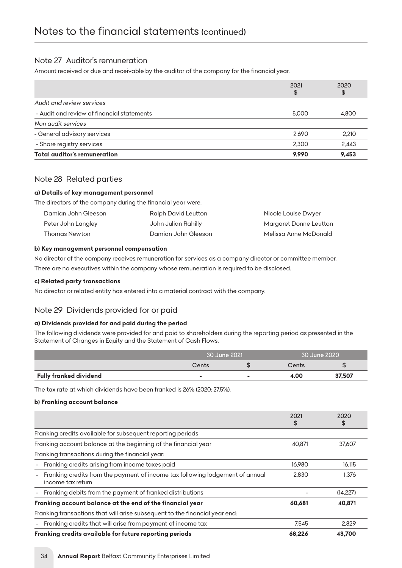# *Note 27 Auditor's remuneration*

*Amount received or due and receivable by the auditor of the company for the financial year.*

|                                            | 2021<br>\$ | 2020<br>\$ |
|--------------------------------------------|------------|------------|
| Audit and review services                  |            |            |
| - Audit and review of financial statements | 5,000      | 4.800      |
| Non audit services                         |            |            |
| - General advisory services                | 2.690      | 2.210      |
| - Share registry services                  | 2.300      | 2.443      |
| Total auditor's remuneration               | 9.990      | 9.453      |

## *Note 28 Related parties*

#### *a) Details of key management personnel*

*The directors of the company during the financial year were:*

| Damian John Gleeson | Ralph David Leutton | Nicole Louise Dwyer    |
|---------------------|---------------------|------------------------|
| Peter John Langley  | John Julian Rahilly | Margaret Donne Leutton |
| Thomas Newton       | Damian John Gleeson | Melissa Anne McDonald  |

#### *b) Key management personnel compensation*

*No director of the company receives remuneration for services as a company director or committee member. There are no executives within the company whose remuneration is required to be disclosed.*

#### *c) Related party transactions*

*No director or related entity has entered into a material contract with the company.*

# *Note 29 Dividends provided for or paid*

#### *a) Dividends provided for and paid during the period*

The following dividends were provided for and paid to shareholders during the reporting period as presented in the *Statement of Changes in Equity and the Statement of Cash Flows.*

|                        | 30 June 2021 |  | 30 June 2020 |        |
|------------------------|--------------|--|--------------|--------|
|                        | Cents        |  | Cents        |        |
| Fully franked dividend | ۰            |  | 4.00         | 37,507 |

*The tax rate at which dividends have been franked is 26% (2020: 27.5%).*

#### *b) Franking account balance*

|                                                                                                    | 2021<br>\$ | 2020<br>\$ |
|----------------------------------------------------------------------------------------------------|------------|------------|
| Franking credits available for subsequent reporting periods                                        |            |            |
| Franking account balance at the beginning of the financial year                                    | 40.871     | 37.607     |
| Franking transactions during the financial year:                                                   |            |            |
| - Franking credits arising from income taxes paid                                                  | 16.980     | 16.115     |
| Franking credits from the payment of income tax following lodgement of annual<br>income tax return | 2.830      | 1,376      |
| Franking debits from the payment of franked distributions<br>$\blacksquare$                        |            | (14.227)   |
| Franking account balance at the end of the financial year                                          | 60,681     | 40,871     |
| Franking transactions that will arise subsequent to the financial year end:                        |            |            |
| - Franking credits that will arise from payment of income tax                                      | 7.545      | 2.829      |
| Franking credits available for future reporting periods                                            | 68.226     | 43.700     |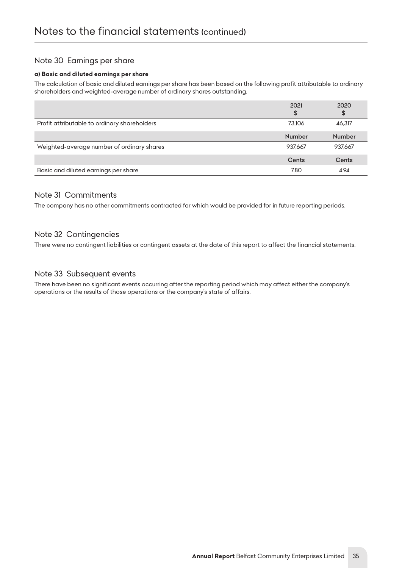# *Note 30 Earnings per share*

#### *a) Basic and diluted earnings per share*

*The calculation of basic and diluted earnings per share has been based on the following profit attributable to ordinary shareholders and weighted-average number of ordinary shares outstanding.*

|                                              | 2021<br>\$    | 2020<br>\$    |
|----------------------------------------------|---------------|---------------|
| Profit attributable to ordinary shareholders | 73.106        | 46,317        |
|                                              | <b>Number</b> | <b>Number</b> |
| Weighted-average number of ordinary shares   | 937.667       | 937.667       |
|                                              | Cents         | Cents         |
| Basic and diluted earnings per share         | 7.80          | 4.94          |

# *Note 31 Commitments*

*The company has no other commitments contracted for which would be provided for in future reporting periods.*

# *Note 32 Contingencies*

*There were no contingent liabilities or contingent assets at the date of this report to affect the financial statements.*

## *Note 33 Subsequent events*

*There have been no significant events occurring after the reporting period which may affect either the company's operations or the results of those operations or the company's state of affairs.*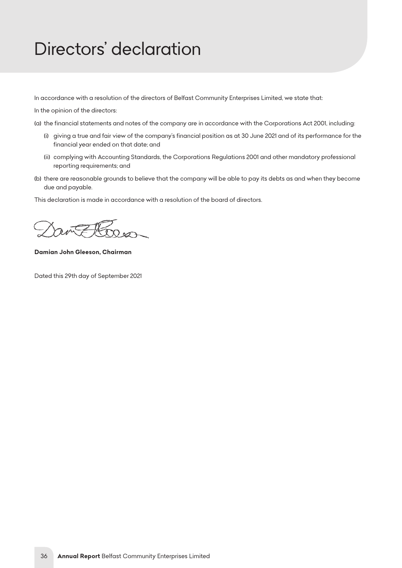# <span id="page-36-0"></span>*Directors' declaration*

*In accordance with a resolution of the directors of Belfast Community Enterprises Limited, we state that:*

*In the opinion of the directors:*

- *(a) the financial statements and notes of the company are in accordance with the Corporations Act 2001, including:*
	- *(i) giving a true and fair view of the company's financial position as at 30 June 2021 and of its performance for the financial year ended on that date; and*
	- *(ii) complying with Accounting Standards, the Corporations Regulations 2001 and other mandatory professional reporting requirements; and*
- *(b) there are reasonable grounds to believe that the company will be able to pay its debts as and when they become due and payable.*

*This declaration is made in accordance with a resolution of the board of directors.*

*Damian John Gleeson, Chairman*

*Dated this 29th day of September 2021*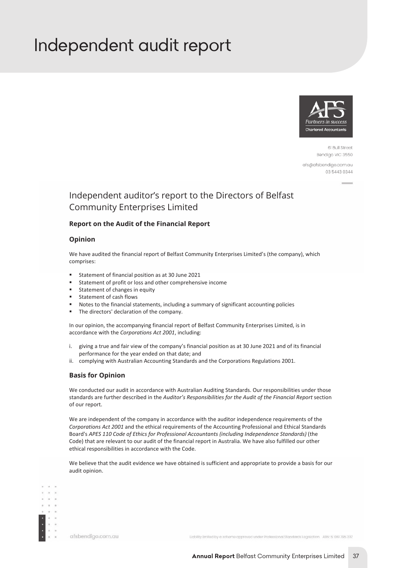# <span id="page-37-0"></span>*Independent audit report*



61 Bull Street Bendigo VIC 3550

afs@afsbendigo.com.au 03 5443 0344

# Independent auditor's report to the Directors of Belfast Community Enterprises Limited

#### **Report on the Audit of the Financial Report**

#### **Opinion**

We have audited the financial report of Belfast Community Enterprises Limited's (the company), which comprises:

- Statement of financial position as at 30 June 2021
- Statement of profit or loss and other comprehensive income
- Statement of changes in equity
- **Statement of cash flows**
- Notes to the financial statements, including a summary of significant accounting policies
- The directors' declaration of the company.

In our opinion, the accompanying financial report of Belfast Community Enterprises Limited, is in accordance with the *Corporations Act 2001*, including:

- i. giving a true and fair view of the company's financial position as at 30 June 2021 and of its financial performance for the year ended on that date; and
- ii. complying with Australian Accounting Standards and the Corporations Regulations 2001.

#### **Basis for Opinion**

We conducted our audit in accordance with Australian Auditing Standards. Our responsibilities under those standards are further described in the *Auditor's Responsibilities for the Audit of the Financial Report* section of our report.

We are independent of the company in accordance with the auditor independence requirements of the *Corporations Act 2001* and the ethical requirements of the Accounting Professional and Ethical Standards Board's *APES 110 Code of Ethics for Professional Accountants (including Independence Standards)* (the Code) that are relevant to our audit of the financial report in Australia. We have also fulfilled our other ethical responsibilities in accordance with the Code.

We believe that the audit evidence we have obtained is sufficient and appropriate to provide a basis for our audit opinion.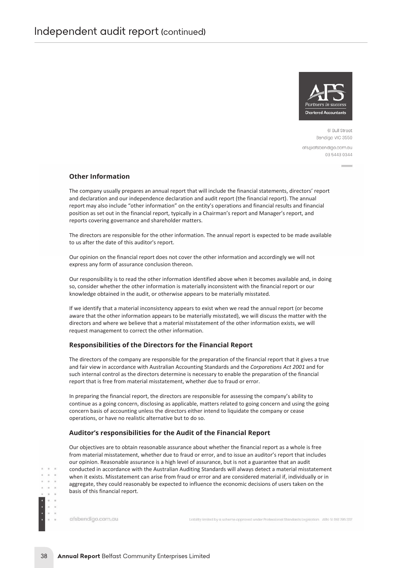

61 Bull Street Bendigo VIC 3550 afs@afsbendigo.com.au 03 5443 0344

#### **Other Information**

The company usually prepares an annual report that will include the financial statements, directors' report and declaration and our independence declaration and audit report (the financial report). The annual report may also include "other information" on the entity's operations and financial results and financial position as set out in the financial report, typically in a Chairman's report and Manager's report, and reports covering governance and shareholder matters.

The directors are responsible for the other information. The annual report is expected to be made available to us after the date of this auditor's report.

Our opinion on the financial report does not cover the other information and accordingly we will not express any form of assurance conclusion thereon.

Our responsibility is to read the other information identified above when it becomes available and, in doing so, consider whether the other information is materially inconsistent with the financial report or our knowledge obtained in the audit, or otherwise appears to be materially misstated.

If we identify that a material inconsistency appears to exist when we read the annual report (or become aware that the other information appears to be materially misstated), we will discuss the matter with the directors and where we believe that a material misstatement of the other information exists, we will request management to correct the other information.

#### **Responsibilities of the Directors for the Financial Report**

The directors of the company are responsible for the preparation of the financial report that it gives a true and fair view in accordance with Australian Accounting Standards and the *Corporations Act 2001* and for such internal control as the directors determine is necessary to enable the preparation of the financial report that is free from material misstatement, whether due to fraud or error.

In preparing the financial report, the directors are responsible for assessing the company's ability to continue as a going concern, disclosing as applicable, matters related to going concern and using the going concern basis of accounting unless the directors either intend to liquidate the company or cease operations, or have no realistic alternative but to do so.

#### **Auditor's responsibilities for the Audit of the Financial Report**

Our objectives are to obtain reasonable assurance about whether the financial report as a whole is free from material misstatement, whether due to fraud or error, and to issue an auditor's report that includes our opinion. Reasonable assurance is a high level of assurance, but is not a guarantee that an audit conducted in accordance with the Australian Auditing Standards will always detect a material misstatement when it exists. Misstatement can arise from fraud or error and are considered material if, individually or in aggregate, they could reasonably be expected to influence the economic decisions of users taken on the basis of this financial report.

afsbendigo.com.au

 $\alpha$ 

Liability limited by a scheme approved under Professional Standards Legislation ABN 51 061795 337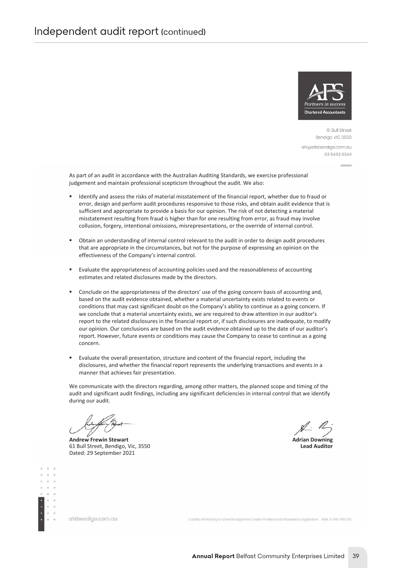

61 Bull Street Bendiao VIC 3550 afs@afsbendigo.com.au 03 5443 0344

As part of an audit in accordance with the Australian Auditing Standards, we exercise professional judgement and maintain professional scepticism throughout the audit. We also:

- Identify and assess the risks of material misstatement of the financial report, whether due to fraud or error, design and perform audit procedures responsive to those risks, and obtain audit evidence that is sufficient and appropriate to provide a basis for our opinion. The risk of not detecting a material misstatement resulting from fraud is higher than for one resulting from error, as fraud may involve collusion, forgery, intentional omissions, misrepresentations, or the override of internal control.
- Obtain an understanding of internal control relevant to the audit in order to design audit procedures that are appropriate in the circumstances, but not for the purpose of expressing an opinion on the effectiveness of the Company's internal control.
- Evaluate the appropriateness of accounting policies used and the reasonableness of accounting estimates and related disclosures made by the directors.
- Conclude on the appropriateness of the directors' use of the going concern basis of accounting and, based on the audit evidence obtained, whether a material uncertainty exists related to events or conditions that may cast significant doubt on the Company's ability to continue as a going concern. If we conclude that a material uncertainty exists, we are required to draw attention in our auditor's report to the related disclosures in the financial report or, if such disclosures are inadequate, to modify our opinion. Our conclusions are based on the audit evidence obtained up to the date of our auditor's report. However, future events or conditions may cause the Company to cease to continue as a going concern.
- Evaluate the overall presentation, structure and content of the financial report, including the disclosures, and whether the financial report represents the underlying transactions and events in a manner that achieves fair presentation.

We communicate with the directors regarding, among other matters, the planned scope and timing of the audit and significant audit findings, including any significant deficiencies in internal control that we identify during our audit.

**Andrew Frewin Stewart Adrian Downing** 61 Bull Street, Bendigo, Vic, 3550 Dated: 29 September 2021

afsbendigo.com.au